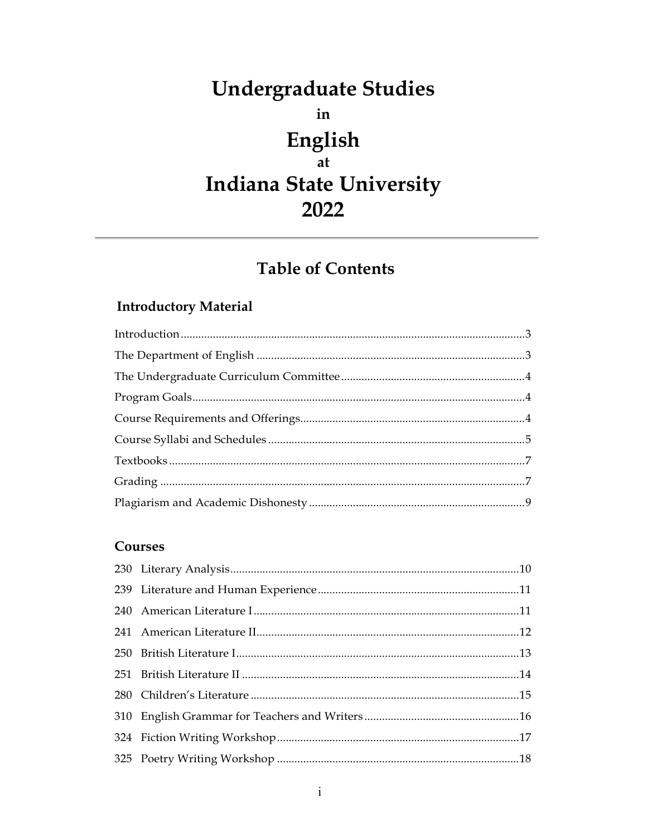# **Undergraduate Studies** in English at **Indiana State University** 2022

# **Table of Contents**

# **Introductory Material**

#### Courses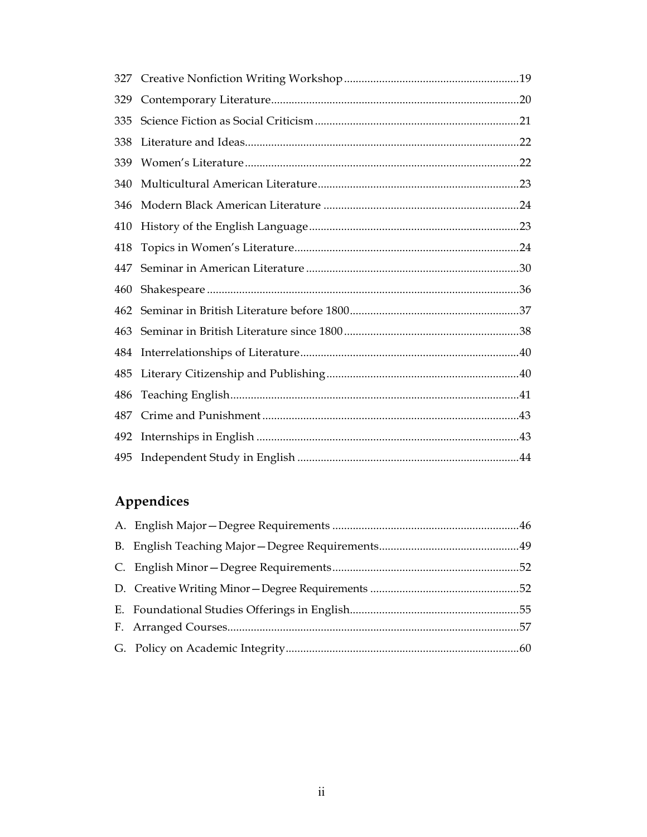| 329 |  |
|-----|--|
| 335 |  |
| 338 |  |
| 339 |  |
| 340 |  |
| 346 |  |
| 410 |  |
| 418 |  |
| 447 |  |
| 460 |  |
| 462 |  |
| 463 |  |
| 484 |  |
| 485 |  |
| 486 |  |
| 487 |  |
| 492 |  |
| 495 |  |
|     |  |

# Appendices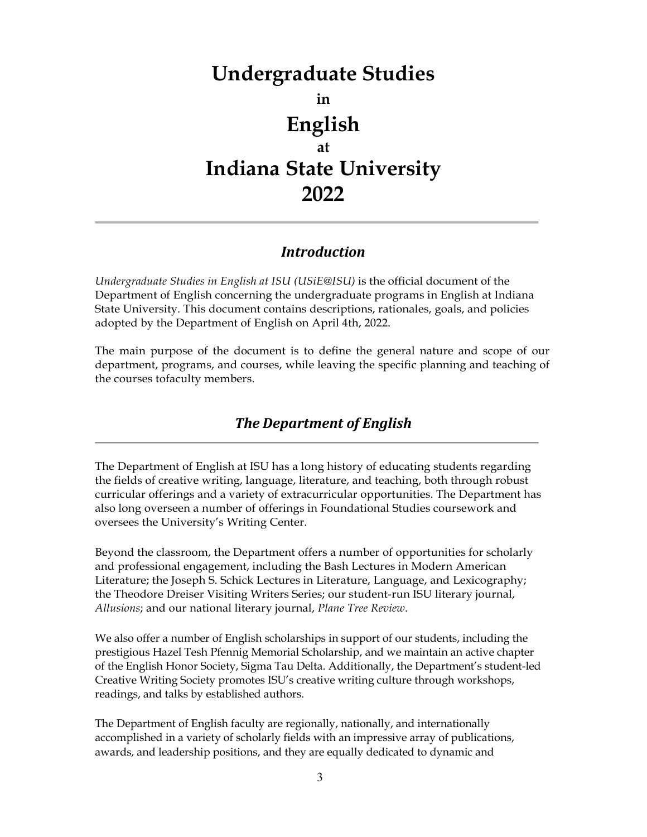# **Undergraduate Studies in English at Indiana State University 2022**

## *Introduction*

*Undergraduate Studies in English at ISU (USiE@ISU)* is the official document of the Department of English concerning the undergraduate programs in English at Indiana State University. This document contains descriptions, rationales, goals, and policies adopted by the Department of English on April 4th, 2022.

The main purpose of the document is to define the general nature and scope of our department, programs, and courses, while leaving the specific planning and teaching of the courses tofaculty members.

# *The Department of English*

The Department of English at ISU has a long history of educating students regarding the fields of creative writing, language, literature, and teaching, both through robust curricular offerings and a variety of extracurricular opportunities. The Department has also long overseen a number of offerings in Foundational Studies coursework and oversees the University's Writing Center.

Beyond the classroom, the Department offers a number of opportunities for scholarly and professional engagement, including the Bash Lectures in Modern American Literature; the Joseph S. Schick Lectures in Literature, Language, and Lexicography; the Theodore Dreiser Visiting Writers Series; our student-run ISU literary journal, *Allusions*; and our national literary journal, *Plane Tree Review*.

We also offer a number of English scholarships in support of our students, including the prestigious Hazel Tesh Pfennig Memorial Scholarship, and we maintain an active chapter of the English Honor Society, Sigma Tau Delta. Additionally, the Department's student-led Creative Writing Society promotes ISU's creative writing culture through workshops, readings, and talks by established authors.

The Department of English faculty are regionally, nationally, and internationally accomplished in a variety of scholarly fields with an impressive array of publications, awards, and leadership positions, and they are equally dedicated to dynamic and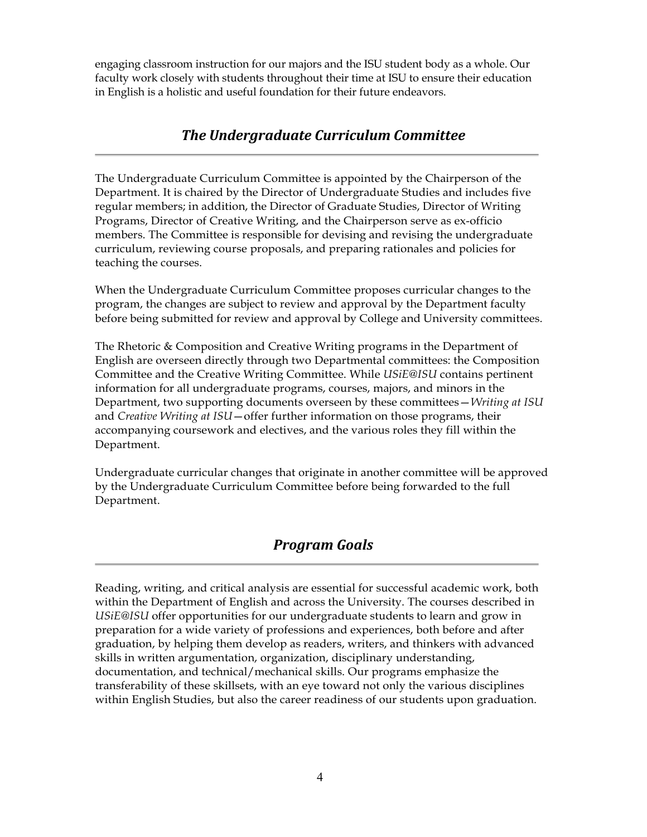engaging classroom instruction for our majors and the ISU student body as a whole. Our faculty work closely with students throughout their time at ISU to ensure their education in English is a holistic and useful foundation for their future endeavors.

## *The Undergraduate Curriculum Committee*

The Undergraduate Curriculum Committee is appointed by the Chairperson of the Department. It is chaired by the Director of Undergraduate Studies and includes five regular members; in addition, the Director of Graduate Studies, Director of Writing Programs, Director of Creative Writing, and the Chairperson serve as ex-officio members. The Committee is responsible for devising and revising the undergraduate curriculum, reviewing course proposals, and preparing rationales and policies for teaching the courses.

When the Undergraduate Curriculum Committee proposes curricular changes to the program, the changes are subject to review and approval by the Department faculty before being submitted for review and approval by College and University committees.

The Rhetoric & Composition and Creative Writing programs in the Department of English are overseen directly through two Departmental committees: the Composition Committee and the Creative Writing Committee. While *USiE@ISU* contains pertinent information for all undergraduate programs, courses, majors, and minors in the Department, two supporting documents overseen by these committees—*Writing at ISU*  and *Creative Writing at ISU*—offer further information on those programs, their accompanying coursework and electives, and the various roles they fill within the Department.

Undergraduate curricular changes that originate in another committee will be approved by the Undergraduate Curriculum Committee before being forwarded to the full Department.

## *Program Goals*

Reading, writing, and critical analysis are essential for successful academic work, both within the Department of English and across the University. The courses described in *USiE@ISU* offer opportunities for our undergraduate students to learn and grow in preparation for a wide variety of professions and experiences, both before and after graduation, by helping them develop as readers, writers, and thinkers with advanced skills in written argumentation, organization, disciplinary understanding, documentation, and technical/mechanical skills. Our programs emphasize the transferability of these skillsets, with an eye toward not only the various disciplines within English Studies, but also the career readiness of our students upon graduation.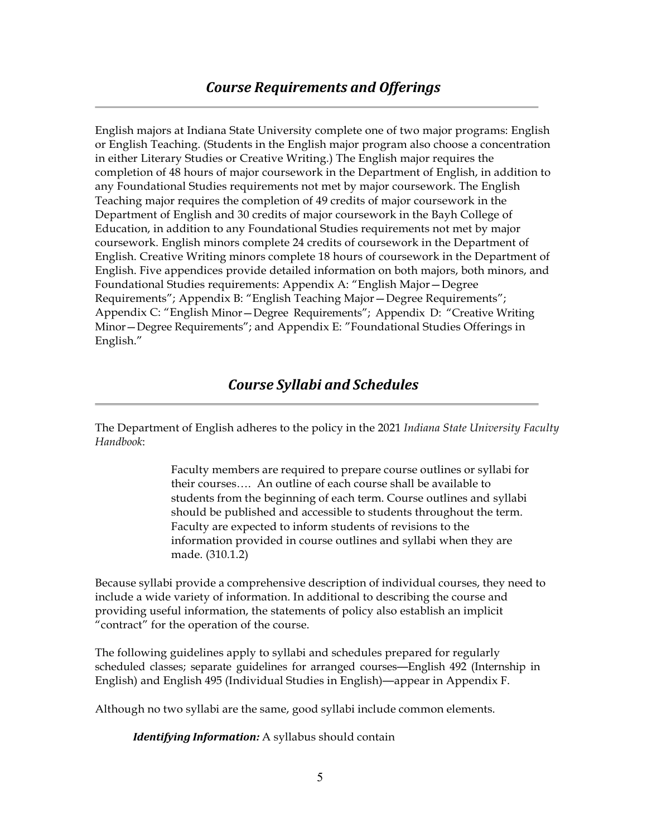English majors at Indiana State University complete one of two major programs: English or English Teaching. (Students in the English major program also choose a concentration in either Literary Studies or Creative Writing.) The English major requires the completion of 48 hours of major coursework in the Department of English, in addition to any Foundational Studies requirements not met by major coursework. The English Teaching major requires the completion of 49 credits of major coursework in the Department of English and 30 credits of major coursework in the Bayh College of Education, in addition to any Foundational Studies requirements not met by major coursework. English minors complete 24 credits of coursework in the Department of English. Creative Writing minors complete 18 hours of coursework in the Department of English. Five appendices provide detailed information on both majors, both minors, and Foundational Studies requirements: Appendix A: "English Major—Degree Requirements"; Appendix B: "English Teaching Major—Degree Requirements"; Appendix C: "English Minor—Degree Requirements"; Appendix D: "Creative Writing Minor—Degree Requirements"; and Appendix E: "Foundational Studies Offerings in English."

## *Course Syllabi and Schedules*

The Department of English adheres to the policy in the 2021 *Indiana State University Faculty Handbook*:

> Faculty members are required to prepare course outlines or syllabi for their courses…. An outline of each course shall be available to students from the beginning of each term. Course outlines and syllabi should be published and accessible to students throughout the term. Faculty are expected to inform students of revisions to the information provided in course outlines and syllabi when they are made. (310.1.2)

Because syllabi provide a comprehensive description of individual courses, they need to include a wide variety of information. In additional to describing the course and providing useful information, the statements of policy also establish an implicit "contract" for the operation of the course.

The following guidelines apply to syllabi and schedules prepared for regularly scheduled classes; separate guidelines for arranged courses—English 492 (Internship in English) and English 495 (Individual Studies in English)—appear in Appendix F.

Although no two syllabi are the same, good syllabi include common elements.

*Identifying Information:* A syllabus should contain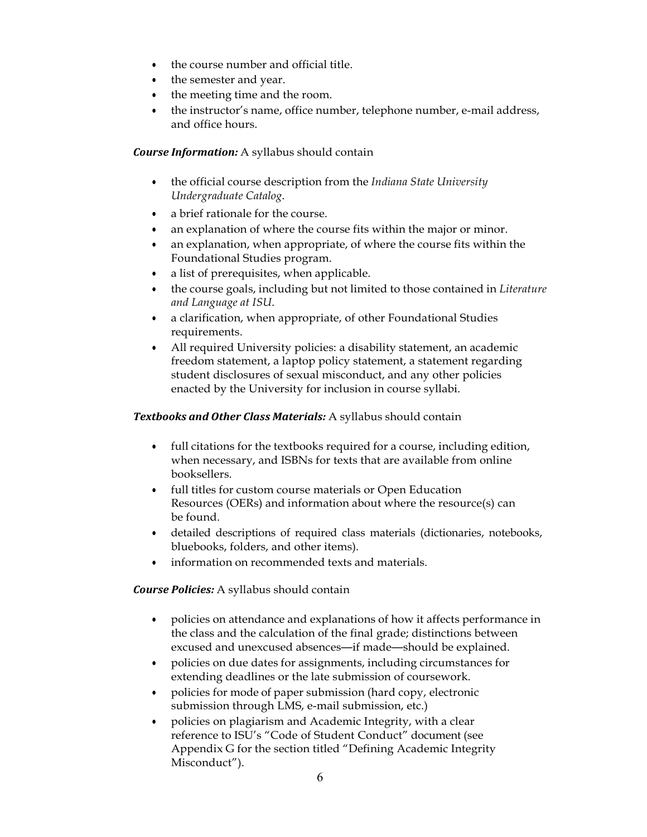- the course number and official title.
- the semester and year.
- the meeting time and the room.
- the instructor's name, office number, telephone number, e-mail address, and office hours.

*Course Information:* A syllabus should contain

- the official course description from the *Indiana State University Undergraduate Catalog*.
- a brief rationale for the course.
- an explanation of where the course fits within the major or minor.
- an explanation, when appropriate, of where the course fits within the Foundational Studies program.
- a list of prerequisites, when applicable.
- the course goals, including but not limited to those contained in *Literature and Language at ISU*.
- a clarification, when appropriate, of other Foundational Studies requirements.
- All required University policies: a disability statement, an academic freedom statement, a laptop policy statement, a statement regarding student disclosures of sexual misconduct, and any other policies enacted by the University for inclusion in course syllabi.

#### *Textbooks and Other Class Materials:* A syllabus should contain

- full citations for the textbooks required for a course, including edition, when necessary, and ISBNs for texts that are available from online booksellers.
- full titles for custom course materials or Open Education Resources (OERs) and information about where the resource(s) can be found.
- detailed descriptions of required class materials (dictionaries, notebooks, bluebooks, folders, and other items).
- information on recommended texts and materials.

#### *Course Policies:* A syllabus should contain

- policies on attendance and explanations of how it affects performance in the class and the calculation of the final grade; distinctions between excused and unexcused absences—if made—should be explained.
- policies on due dates for assignments, including circumstances for extending deadlines or the late submission of coursework.
- policies for mode of paper submission (hard copy, electronic submission through LMS, e-mail submission, etc.)
- policies on plagiarism and Academic Integrity, with a clear reference to ISU's "Code of Student Conduct" document (see Appendix G for the section titled "Defining Academic Integrity Misconduct").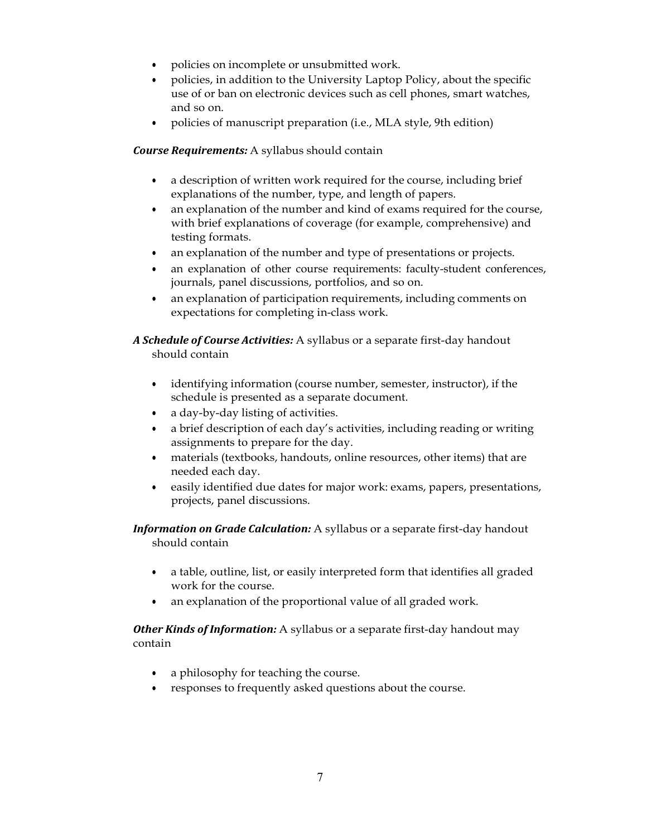- policies on incomplete or unsubmitted work.
- policies, in addition to the University Laptop Policy, about the specific use of or ban on electronic devices such as cell phones, smart watches, and so on.
- policies of manuscript preparation (i.e., MLA style, 9th edition)

*Course Requirements:* A syllabus should contain

- a description of written work required for the course, including brief explanations of the number, type, and length of papers.
- an explanation of the number and kind of exams required for the course, with brief explanations of coverage (for example, comprehensive) and testing formats.
- an explanation of the number and type of presentations or projects.
- an explanation of other course requirements: faculty-student conferences, journals, panel discussions, portfolios, and so on.
- an explanation of participation requirements, including comments on expectations for completing in-class work.

*A Schedule of Course Activities:* A syllabus or a separate first-day handout should contain

- identifying information (course number, semester, instructor), if the schedule is presented as a separate document.
- a day-by-day listing of activities.
- a brief description of each day's activities, including reading or writing assignments to prepare for the day.
- materials (textbooks, handouts, online resources, other items) that are needed each day.
- easily identified due dates for major work: exams, papers, presentations, projects, panel discussions.

*Information on Grade Calculation:* A syllabus or a separate first-day handout should contain

- a table, outline, list, or easily interpreted form that identifies all graded work for the course.
- an explanation of the proportional value of all graded work.

*Other Kinds of Information:* A syllabus or a separate first-day handout may contain

- a philosophy for teaching the course.
- responses to frequently asked questions about the course.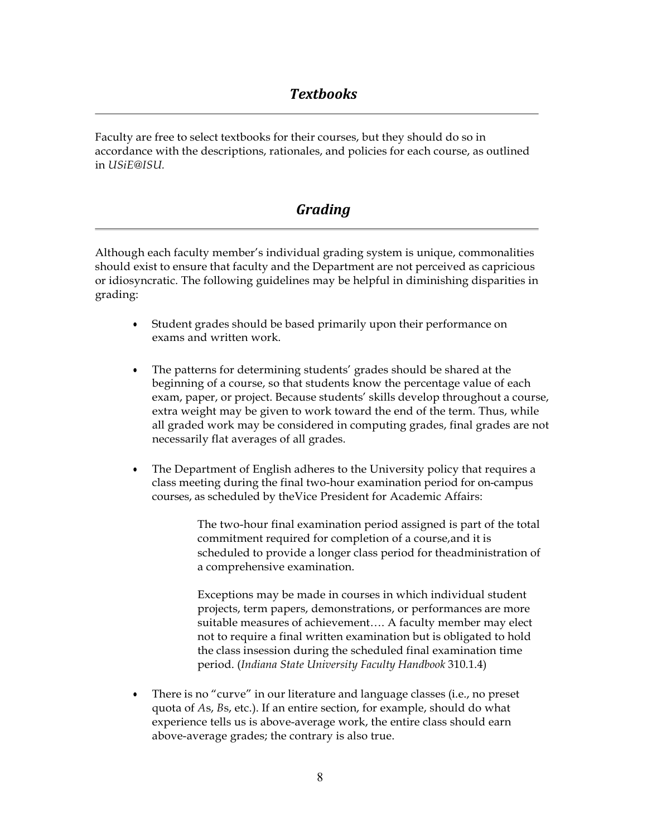Faculty are free to select textbooks for their courses, but they should do so in accordance with the descriptions, rationales, and policies for each course, as outlined in *USiE@ISU.*

## *Grading*

Although each faculty member's individual grading system is unique, commonalities should exist to ensure that faculty and the Department are not perceived as capricious or idiosyncratic. The following guidelines may be helpful in diminishing disparities in grading:

- Student grades should be based primarily upon their performance on exams and written work.
- The patterns for determining students' grades should be shared at the beginning of a course, so that students know the percentage value of each exam, paper, or project. Because students' skills develop throughout a course, extra weight may be given to work toward the end of the term. Thus, while all graded work may be considered in computing grades, final grades are not necessarily flat averages of all grades.
- The Department of English adheres to the University policy that requires a class meeting during the final two-hour examination period for on-campus courses, as scheduled by theVice President for Academic Affairs:

The two-hour final examination period assigned is part of the total commitment required for completion of a course,and it is scheduled to provide a longer class period for theadministration of a comprehensive examination.

Exceptions may be made in courses in which individual student projects, term papers, demonstrations, or performances are more suitable measures of achievement…. A faculty member may elect not to require a final written examination but is obligated to hold the class insession during the scheduled final examination time period. (*Indiana State University Faculty Handbook* 310.1.4)

• There is no "curve" in our literature and language classes (i.e., no preset quota of *A*s, *B*s, etc.). If an entire section, for example, should do what experience tells us is above-average work, the entire class should earn above-average grades; the contrary is also true.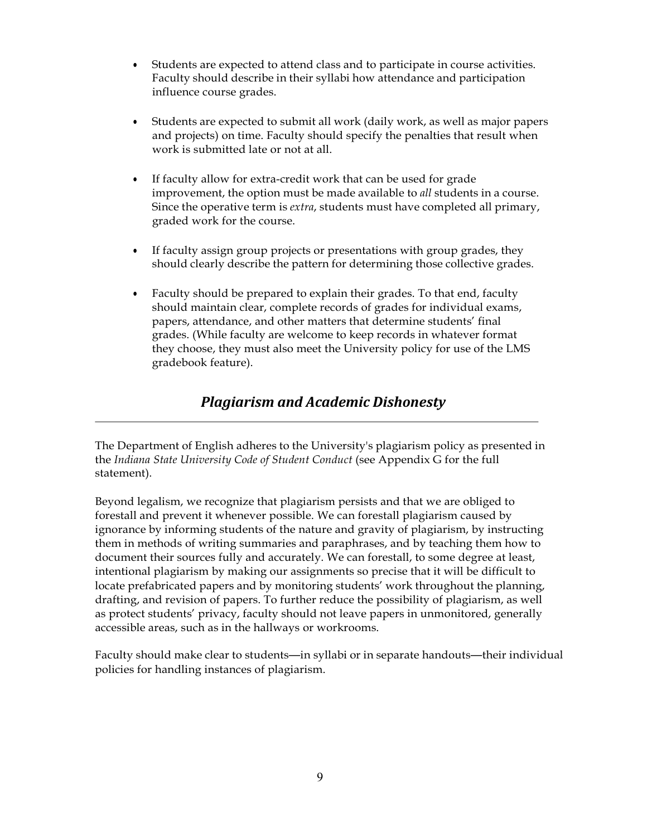- Students are expected to attend class and to participate in course activities. Faculty should describe in their syllabi how attendance and participation influence course grades.
- Students are expected to submit all work (daily work, as well as major papers and projects) on time. Faculty should specify the penalties that result when work is submitted late or not at all.
- If faculty allow for extra-credit work that can be used for grade improvement, the option must be made available to *all* students in a course. Since the operative term is *extra*, students must have completed all primary, graded work for the course.
- If faculty assign group projects or presentations with group grades, they should clearly describe the pattern for determining those collective grades.
- Faculty should be prepared to explain their grades. To that end, faculty should maintain clear, complete records of grades for individual exams, papers, attendance, and other matters that determine students' final grades. (While faculty are welcome to keep records in whatever format they choose, they must also meet the University policy for use of the LMS gradebook feature).

## *Plagiarism and Academic Dishonesty*

The Department of English adheres to the University's plagiarism policy as presented in the *Indiana State University Code of Student Conduct* (see Appendix G for the full statement).

Beyond legalism, we recognize that plagiarism persists and that we are obliged to forestall and prevent it whenever possible. We can forestall plagiarism caused by ignorance by informing students of the nature and gravity of plagiarism, by instructing them in methods of writing summaries and paraphrases, and by teaching them how to document their sources fully and accurately. We can forestall, to some degree at least, intentional plagiarism by making our assignments so precise that it will be difficult to locate prefabricated papers and by monitoring students' work throughout the planning, drafting, and revision of papers. To further reduce the possibility of plagiarism, as well as protect students' privacy, faculty should not leave papers in unmonitored, generally accessible areas, such as in the hallways or workrooms.

Faculty should make clear to students—in syllabi or in separate handouts—their individual policies for handling instances of plagiarism.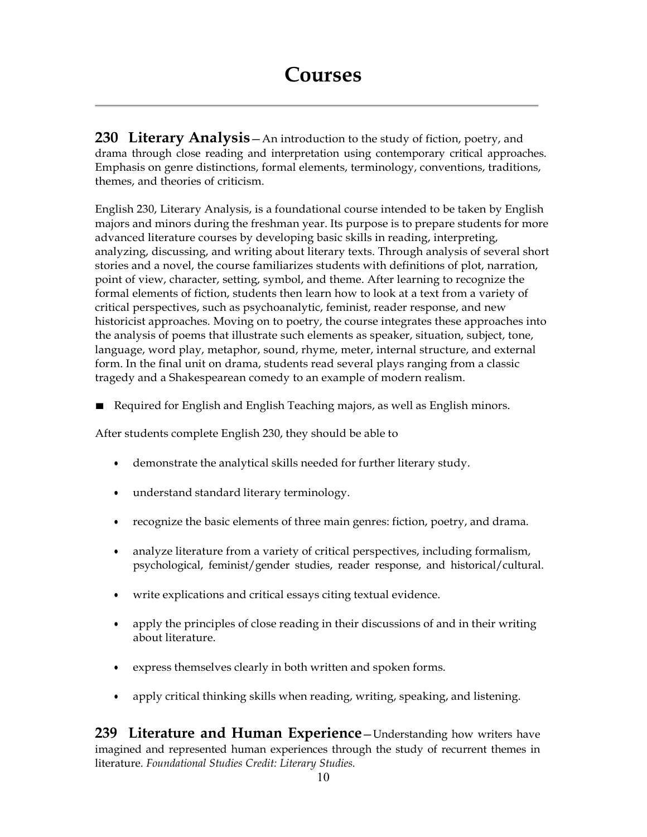**230 Literary Analysis**—An introduction to the study of fiction, poetry, and drama through close reading and interpretation using contemporary critical approaches. Emphasis on genre distinctions, formal elements, terminology, conventions, traditions, themes, and theories of criticism.

English 230, Literary Analysis, is a foundational course intended to be taken by English majors and minors during the freshman year. Its purpose is to prepare students for more advanced literature courses by developing basic skills in reading, interpreting, analyzing, discussing, and writing about literary texts. Through analysis of several short stories and a novel, the course familiarizes students with definitions of plot, narration, point of view, character, setting, symbol, and theme. After learning to recognize the formal elements of fiction, students then learn how to look at a text from a variety of critical perspectives, such as psychoanalytic, feminist, reader response, and new historicist approaches. Moving on to poetry, the course integrates these approaches into the analysis of poems that illustrate such elements as speaker, situation, subject, tone, language, word play, metaphor, sound, rhyme, meter, internal structure, and external form. In the final unit on drama, students read several plays ranging from a classic tragedy and a Shakespearean comedy to an example of modern realism.

■ Required for English and English Teaching majors, as well as English minors.

After students complete English 230, they should be able to

- demonstrate the analytical skills needed for further literary study.
- understand standard literary terminology.
- recognize the basic elements of three main genres: fiction, poetry, and drama.
- analyze literature from a variety of critical perspectives, including formalism, psychological, feminist/gender studies, reader response, and historical/cultural.
- write explications and critical essays citing textual evidence.
- apply the principles of close reading in their discussions of and in their writing about literature.
- express themselves clearly in both written and spoken forms.
- apply critical thinking skills when reading, writing, speaking, and listening.

**239 Literature and Human Experience**—Understanding how writers have imagined and represented human experiences through the study of recurrent themes in literature. *Foundational Studies Credit: Literary Studies.*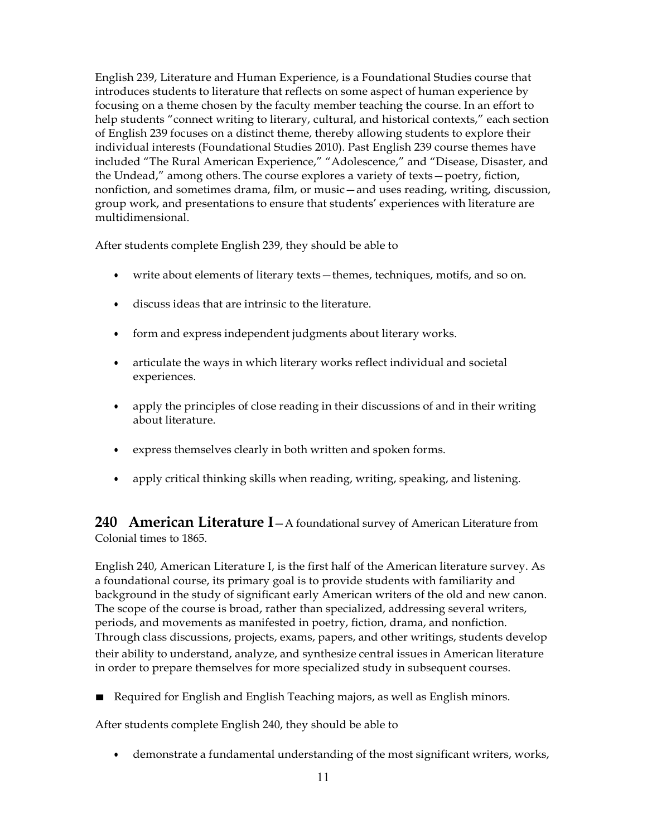English 239, Literature and Human Experience, is a Foundational Studies course that introduces students to literature that reflects on some aspect of human experience by focusing on a theme chosen by the faculty member teaching the course. In an effort to help students "connect writing to literary, cultural, and historical contexts," each section of English 239 focuses on a distinct theme, thereby allowing students to explore their individual interests (Foundational Studies 2010). Past English 239 course themes have included "The Rural American Experience," "Adolescence," and "Disease, Disaster, and the Undead," among others. The course explores a variety of texts—poetry, fiction, nonfiction, and sometimes drama, film, or music—and uses reading, writing, discussion, group work, and presentations to ensure that students' experiences with literature are multidimensional.

After students complete English 239, they should be able to

- write about elements of literary texts—themes, techniques, motifs, and so on.
- discuss ideas that are intrinsic to the literature.
- form and express independent judgments about literary works.
- articulate the ways in which literary works reflect individual and societal experiences.
- apply the principles of close reading in their discussions of and in their writing about literature.
- express themselves clearly in both written and spoken forms.
- apply critical thinking skills when reading, writing, speaking, and listening.

**240 American Literature I**—A foundational survey of American Literature from Colonial times to 1865.

English 240, American Literature I, is the first half of the American literature survey. As a foundational course, its primary goal is to provide students with familiarity and background in the study of significant early American writers of the old and new canon. The scope of the course is broad, rather than specialized, addressing several writers, periods, and movements as manifested in poetry, fiction, drama, and nonfiction. Through class discussions, projects, exams, papers, and other writings, students develop their ability to understand, analyze, and synthesize central issues in American literature in order to prepare themselves for more specialized study in subsequent courses.

■ Required for English and English Teaching majors, as well as English minors.

After students complete English 240, they should be able to

• demonstrate a fundamental understanding of the most significant writers, works,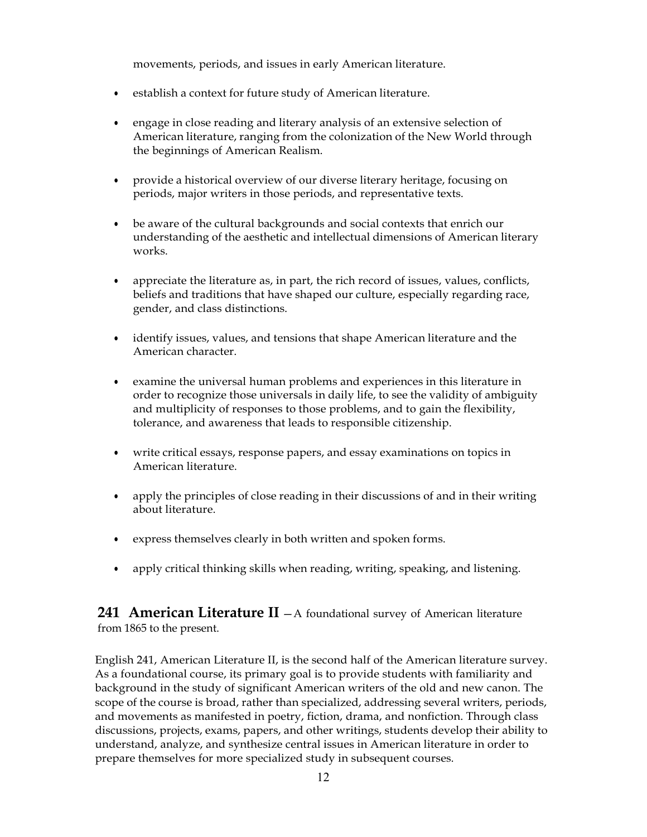movements, periods, and issues in early American literature.

- establish a context for future study of American literature.
- engage in close reading and literary analysis of an extensive selection of American literature, ranging from the colonization of the New World through the beginnings of American Realism.
- provide a historical overview of our diverse literary heritage, focusing on periods, major writers in those periods, and representative texts.
- be aware of the cultural backgrounds and social contexts that enrich our understanding of the aesthetic and intellectual dimensions of American literary works.
- appreciate the literature as, in part, the rich record of issues, values, conflicts, beliefs and traditions that have shaped our culture, especially regarding race, gender, and class distinctions.
- identify issues, values, and tensions that shape American literature and the American character.
- examine the universal human problems and experiences in this literature in order to recognize those universals in daily life, to see the validity of ambiguity and multiplicity of responses to those problems, and to gain the flexibility, tolerance, and awareness that leads to responsible citizenship.
- write critical essays, response papers, and essay examinations on topics in American literature.
- apply the principles of close reading in their discussions of and in their writing about literature.
- express themselves clearly in both written and spoken forms.
- apply critical thinking skills when reading, writing, speaking, and listening.

**241 American Literature II** —A foundational survey of American literature from 1865 to the present.

English 241, American Literature II, is the second half of the American literature survey. As a foundational course, its primary goal is to provide students with familiarity and background in the study of significant American writers of the old and new canon. The scope of the course is broad, rather than specialized, addressing several writers, periods, and movements as manifested in poetry, fiction, drama, and nonfiction. Through class discussions, projects, exams, papers, and other writings, students develop their ability to understand, analyze, and synthesize central issues in American literature in order to prepare themselves for more specialized study in subsequent courses.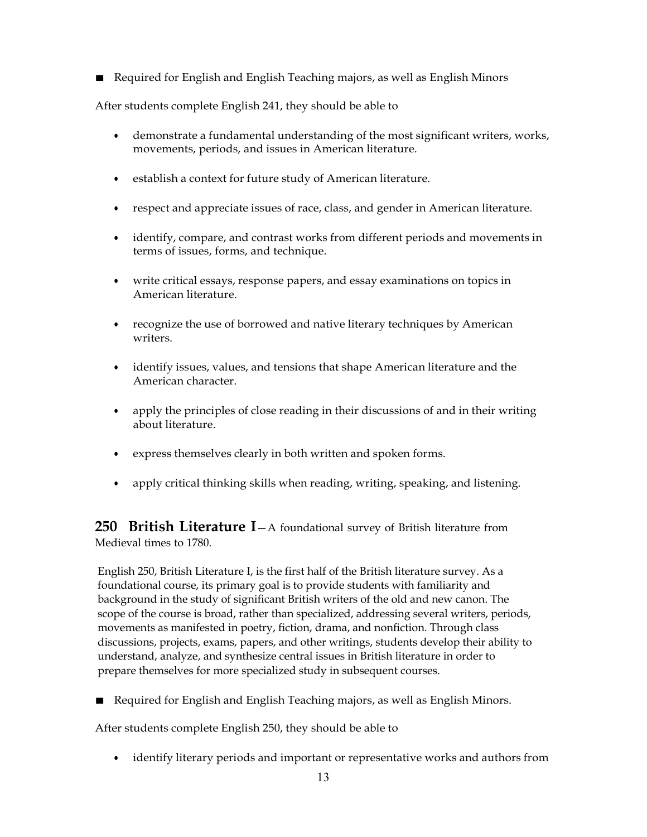■ Required for English and English Teaching majors, as well as English Minors

After students complete English 241, they should be able to

- demonstrate a fundamental understanding of the most significant writers, works, movements, periods, and issues in American literature.
- establish a context for future study of American literature.
- respect and appreciate issues of race, class, and gender in American literature.
- identify, compare, and contrast works from different periods and movements in terms of issues, forms, and technique.
- write critical essays, response papers, and essay examinations on topics in American literature.
- recognize the use of borrowed and native literary techniques by American writers.
- identify issues, values, and tensions that shape American literature and the American character.
- apply the principles of close reading in their discussions of and in their writing about literature.
- express themselves clearly in both written and spoken forms.
- apply critical thinking skills when reading, writing, speaking, and listening.

**250 British Literature I**—A foundational survey of British literature from Medieval times to 1780.

English 250, British Literature I, is the first half of the British literature survey. As a foundational course, its primary goal is to provide students with familiarity and background in the study of significant British writers of the old and new canon. The scope of the course is broad, rather than specialized, addressing several writers, periods, movements as manifested in poetry, fiction, drama, and nonfiction. Through class discussions, projects, exams, papers, and other writings, students develop their ability to understand, analyze, and synthesize central issues in British literature in order to prepare themselves for more specialized study in subsequent courses.

■ Required for English and English Teaching majors, as well as English Minors.

After students complete English 250, they should be able to

• identify literary periods and important or representative works and authors from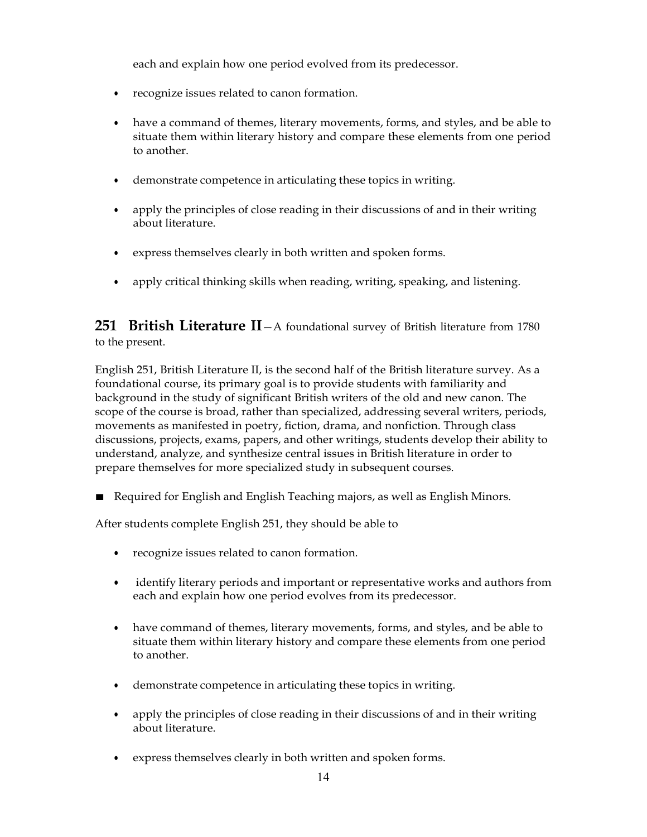each and explain how one period evolved from its predecessor.

- recognize issues related to canon formation.
- have a command of themes, literary movements, forms, and styles, and be able to situate them within literary history and compare these elements from one period to another.
- demonstrate competence in articulating these topics in writing.
- apply the principles of close reading in their discussions of and in their writing about literature.
- express themselves clearly in both written and spoken forms.
- apply critical thinking skills when reading, writing, speaking, and listening.

**251 British Literature II**—A foundational survey of British literature from 1780 to the present.

English 251, British Literature II, is the second half of the British literature survey. As a foundational course, its primary goal is to provide students with familiarity and background in the study of significant British writers of the old and new canon. The scope of the course is broad, rather than specialized, addressing several writers, periods, movements as manifested in poetry, fiction, drama, and nonfiction. Through class discussions, projects, exams, papers, and other writings, students develop their ability to understand, analyze, and synthesize central issues in British literature in order to prepare themselves for more specialized study in subsequent courses.

■ Required for English and English Teaching majors, as well as English Minors.

After students complete English 251, they should be able to

- recognize issues related to canon formation.
- identify literary periods and important or representative works and authors from each and explain how one period evolves from its predecessor.
- have command of themes, literary movements, forms, and styles, and be able to situate them within literary history and compare these elements from one period to another.
- demonstrate competence in articulating these topics in writing.
- apply the principles of close reading in their discussions of and in their writing about literature.
- express themselves clearly in both written and spoken forms.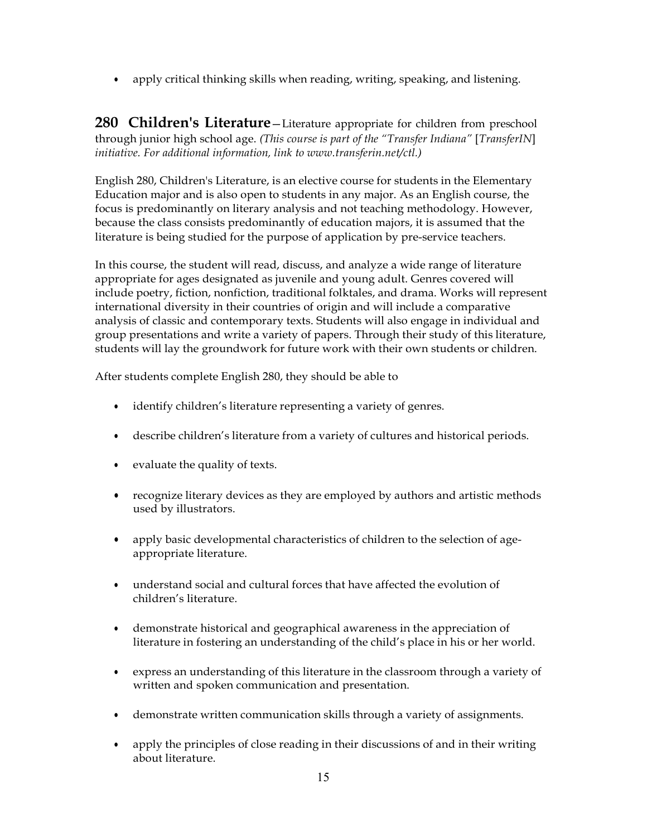• apply critical thinking skills when reading, writing, speaking, and listening.

**280 Children's Literature**—Literature appropriate for children from preschool through junior high school age. *(This course is part of the "Transfer Indiana"* [*TransferIN*] *initiative. For additional information, link to [www.transferin.net/ctl.\)](http://www.transferin.net/ctl.))*

English 280, Children's Literature, is an elective course for students in the Elementary Education major and is also open to students in any major. As an English course, the focus is predominantly on literary analysis and not teaching methodology. However, because the class consists predominantly of education majors, it is assumed that the literature is being studied for the purpose of application by pre-service teachers.

In this course, the student will read, discuss, and analyze a wide range of literature appropriate for ages designated as juvenile and young adult. Genres covered will include poetry, fiction, nonfiction, traditional folktales, and drama. Works will represent international diversity in their countries of origin and will include a comparative analysis of classic and contemporary texts. Students will also engage in individual and group presentations and write a variety of papers. Through their study of this literature, students will lay the groundwork for future work with their own students or children.

After students complete English 280, they should be able to

- identify children's literature representing a variety of genres.
- describe children's literature from a variety of cultures and historical periods.
- evaluate the quality of texts.
- recognize literary devices as they are employed by authors and artistic methods used by illustrators.
- apply basic developmental characteristics of children to the selection of ageappropriate literature.
- understand social and cultural forces that have affected the evolution of children's literature.
- demonstrate historical and geographical awareness in the appreciation of literature in fostering an understanding of the child's place in his or her world.
- express an understanding of this literature in the classroom through a variety of written and spoken communication and presentation.
- demonstrate written communication skills through a variety of assignments.
- apply the principles of close reading in their discussions of and in their writing about literature.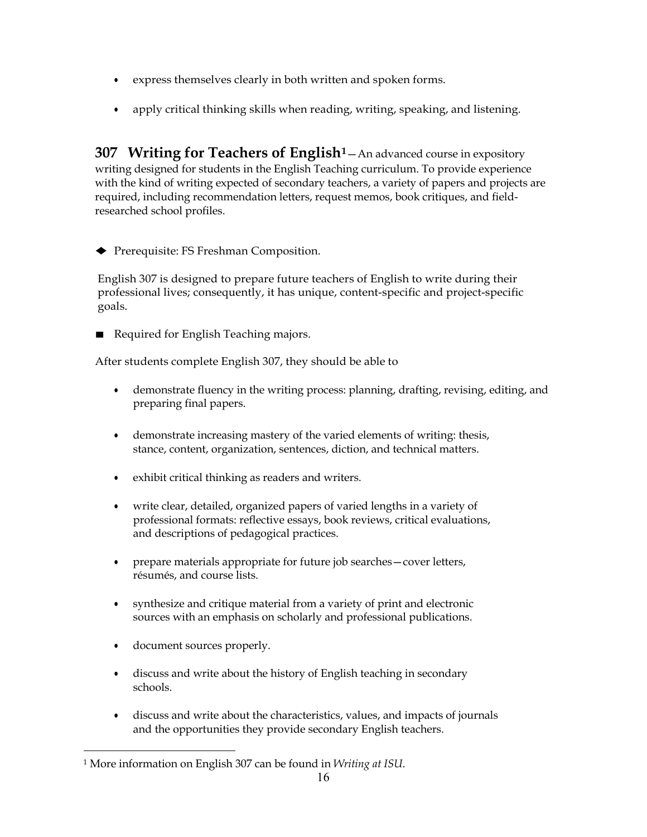- express themselves clearly in both written and spoken forms.
- apply critical thinking skills when reading, writing, speaking, and listening.

**307 Writing for Teachers of English[1](#page-15-0)**—An advanced course in expository writing designed for students in the English Teaching curriculum. To provide experience with the kind of writing expected of secondary teachers, a variety of papers and projects are required, including recommendation letters, request memos, book critiques, and fieldresearched school profiles.

♦ Prerequisite: FS Freshman Composition.

English 307 is designed to prepare future teachers of English to write during their professional lives; consequently, it has unique, content-specific and project-specific goals.

Required for English Teaching majors.

After students complete English 307, they should be able to

- demonstrate fluency in the writing process: planning, drafting, revising, editing, and preparing final papers.
- demonstrate increasing mastery of the varied elements of writing: thesis, stance, content, organization, sentences, diction, and technical matters.
- exhibit critical thinking as readers and writers.
- write clear, detailed, organized papers of varied lengths in a variety of professional formats: reflective essays, book reviews, critical evaluations, and descriptions of pedagogical practices.
- prepare materials appropriate for future job searches cover letters, résumés, and course lists.
- synthesize and critique material from a variety of print and electronic sources with an emphasis on scholarly and professional publications.
- document sources properly.
- discuss and write about the history of English teaching in secondary schools.
- discuss and write about the characteristics, values, and impacts of journals and the opportunities they provide secondary English teachers.

<span id="page-15-0"></span><sup>1</sup> More information on English 307 can be found in *Writing at ISU*.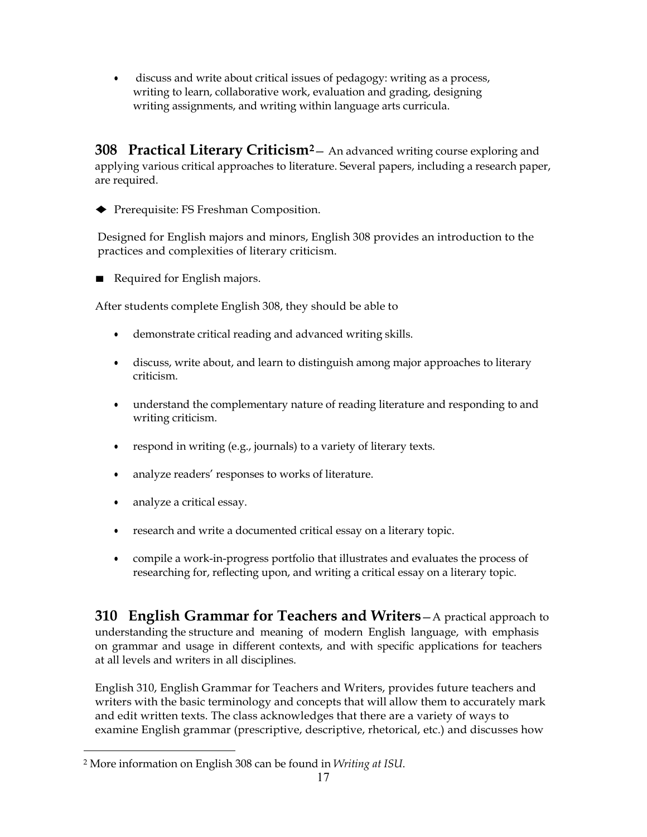• discuss and write about critical issues of pedagogy: writing as a process, writing to learn, collaborative work, evaluation and grading, designing writing assignments, and writing within language arts curricula.

**308 Practical Literary Criticism[2](#page-16-0)**— An advanced writing course exploring and applying various critical approaches to literature. Several papers, including a research paper, are required.

♦ Prerequisite: FS Freshman Composition.

Designed for English majors and minors, English 308 provides an introduction to the practices and complexities of literary criticism.

■ Required for English majors.

After students complete English 308, they should be able to

- demonstrate critical reading and advanced writing skills.
- discuss, write about, and learn to distinguish among major approaches to literary criticism.
- understand the complementary nature of reading literature and responding to and writing criticism.
- respond in writing (e.g., journals) to a variety of literary texts.
- analyze readers' responses to works of literature.
- analyze a critical essay.
- research and write a documented critical essay on a literary topic.
- compile a work-in-progress portfolio that illustrates and evaluates the process of researching for, reflecting upon, and writing a critical essay on a literary topic.

**310 English Grammar for Teachers and Writers**—A practical approach to understanding the structure and meaning of modern English language, with emphasis on grammar and usage in different contexts, and with specific applications for teachers at all levels and writers in all disciplines.

English 310, English Grammar for Teachers and Writers, provides future teachers and writers with the basic terminology and concepts that will allow them to accurately mark and edit written texts. The class acknowledges that there are a variety of ways to examine English grammar (prescriptive, descriptive, rhetorical, etc.) and discusses how

<span id="page-16-0"></span><sup>2</sup> More information on English 308 can be found in *Writing at ISU*.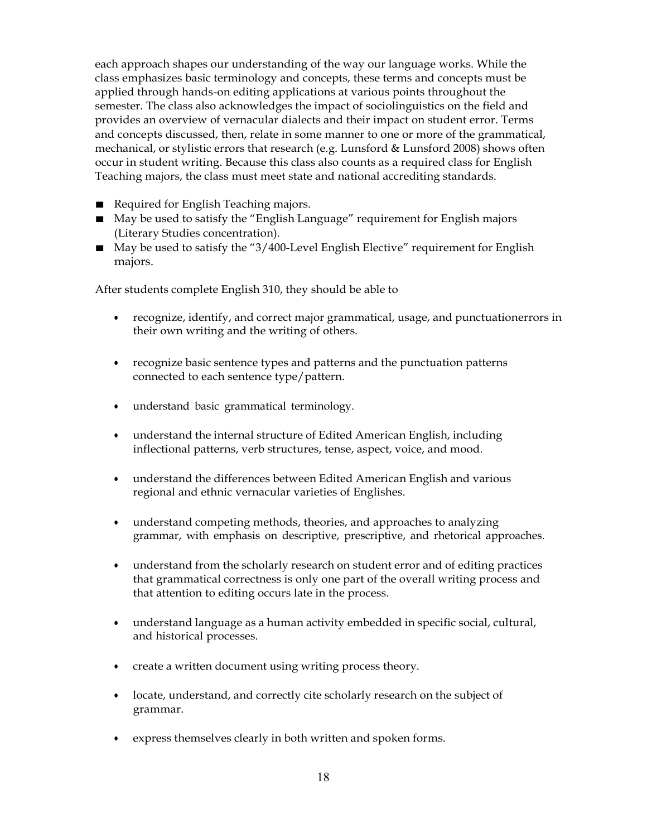each approach shapes our understanding of the way our language works. While the class emphasizes basic terminology and concepts, these terms and concepts must be applied through hands-on editing applications at various points throughout the semester. The class also acknowledges the impact of sociolinguistics on the field and provides an overview of vernacular dialects and their impact on student error. Terms and concepts discussed, then, relate in some manner to one or more of the grammatical, mechanical, or stylistic errors that research (e.g. Lunsford & Lunsford 2008) shows often occur in student writing. Because this class also counts as a required class for English Teaching majors, the class must meet state and national accrediting standards.

- Required for English Teaching majors.
- May be used to satisfy the "English Language" requirement for English majors (Literary Studies concentration).
- May be used to satisfy the "3/400-Level English Elective" requirement for English majors.

After students complete English 310, they should be able to

- recognize, identify, and correct major grammatical, usage, and punctuationerrors in their own writing and the writing of others.
- recognize basic sentence types and patterns and the punctuation patterns connected to each sentence type/pattern.
- understand basic grammatical terminology.
- understand the internal structure of Edited American English, including inflectional patterns, verb structures, tense, aspect, voice, and mood.
- understand the differences between Edited American English and various regional and ethnic vernacular varieties of Englishes.
- understand competing methods, theories, and approaches to analyzing grammar, with emphasis on descriptive, prescriptive, and rhetorical approaches.
- understand from the scholarly research on student error and of editing practices that grammatical correctness is only one part of the overall writing process and that attention to editing occurs late in the process.
- understand language as a human activity embedded in specific social, cultural, and historical processes.
- create a written document using writing process theory.
- locate, understand, and correctly cite scholarly research on the subject of grammar.
- express themselves clearly in both written and spoken forms.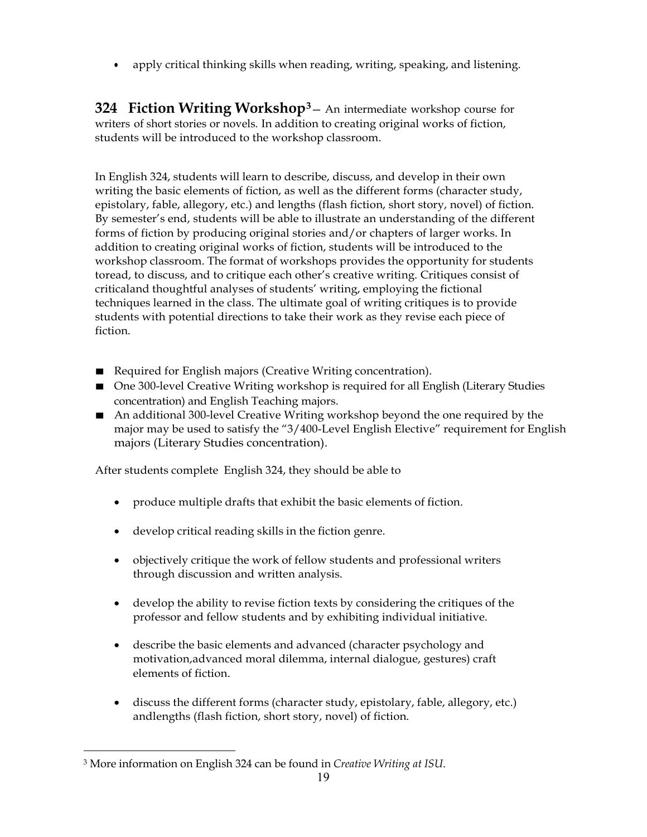• apply critical thinking skills when reading, writing, speaking, and listening.

**324 Fiction Writing Workshop[3](#page-18-0)**— An intermediate workshop course for writers of short stories or novels. In addition to creating original works of fiction, students will be introduced to the workshop classroom.

In English 324, students will learn to describe, discuss, and develop in their own writing the basic elements of fiction, as well as the different forms (character study, epistolary, fable, allegory, etc.) and lengths (flash fiction, short story, novel) of fiction. By semester's end, students will be able to illustrate an understanding of the different forms of fiction by producing original stories and/or chapters of larger works. In addition to creating original works of fiction, students will be introduced to the workshop classroom. The format of workshops provides the opportunity for students toread, to discuss, and to critique each other's creative writing. Critiques consist of criticaland thoughtful analyses of students' writing, employing the fictional techniques learned in the class. The ultimate goal of writing critiques is to provide students with potential directions to take their work as they revise each piece of fiction.

- Required for English majors (Creative Writing concentration).
- One 300-level Creative Writing workshop is required for all English (Literary Studies concentration) and English Teaching majors.
- An additional 300-level Creative Writing workshop beyond the one required by the major may be used to satisfy the "3/400-Level English Elective" requirement for English majors (Literary Studies concentration).

After students complete English 324, they should be able to

- produce multiple drafts that exhibit the basic elements of fiction.
- develop critical reading skills in the fiction genre.
- objectively critique the work of fellow students and professional writers through discussion and written analysis.
- develop the ability to revise fiction texts by considering the critiques of the professor and fellow students and by exhibiting individual initiative.
- describe the basic elements and advanced (character psychology and motivation,advanced moral dilemma, internal dialogue, gestures) craft elements of fiction.
- discuss the different forms (character study, epistolary, fable, allegory, etc.) andlengths (flash fiction, short story, novel) of fiction.

<span id="page-18-0"></span><sup>3</sup> More information on English 324 can be found in *Creative Writing at ISU*.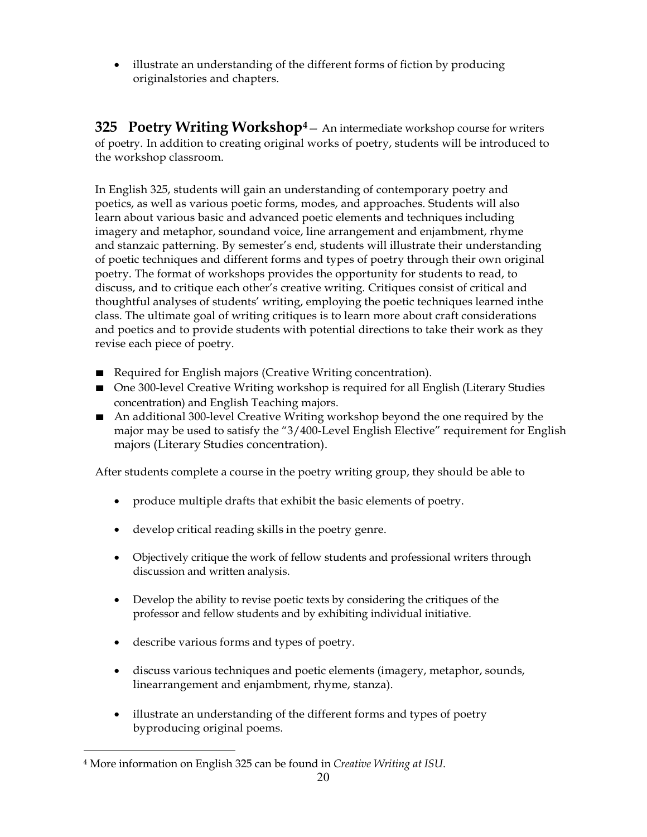• illustrate an understanding of the different forms of fiction by producing originalstories and chapters.

**325 Poetry Writing Workshop[4](#page-19-0)**— An intermediate workshop course for writers of poetry. In addition to creating original works of poetry, students will be introduced to the workshop classroom.

In English 325, students will gain an understanding of contemporary poetry and poetics, as well as various poetic forms, modes, and approaches. Students will also learn about various basic and advanced poetic elements and techniques including imagery and metaphor, soundand voice, line arrangement and enjambment, rhyme and stanzaic patterning. By semester's end, students will illustrate their understanding of poetic techniques and different forms and types of poetry through their own original poetry. The format of workshops provides the opportunity for students to read, to discuss, and to critique each other's creative writing. Critiques consist of critical and thoughtful analyses of students' writing, employing the poetic techniques learned inthe class. The ultimate goal of writing critiques is to learn more about craft considerations and poetics and to provide students with potential directions to take their work as they revise each piece of poetry.

- Required for English majors (Creative Writing concentration).
- One 300-level Creative Writing workshop is required for all English (Literary Studies concentration) and English Teaching majors.
- An additional 300-level Creative Writing workshop beyond the one required by the major may be used to satisfy the "3/400-Level English Elective" requirement for English majors (Literary Studies concentration).

After students complete a course in the poetry writing group, they should be able to

- produce multiple drafts that exhibit the basic elements of poetry.
- develop critical reading skills in the poetry genre.
- Objectively critique the work of fellow students and professional writers through discussion and written analysis.
- Develop the ability to revise poetic texts by considering the critiques of the professor and fellow students and by exhibiting individual initiative.
- describe various forms and types of poetry.
- discuss various techniques and poetic elements (imagery, metaphor, sounds, linearrangement and enjambment, rhyme, stanza).
- illustrate an understanding of the different forms and types of poetry byproducing original poems.

<span id="page-19-0"></span><sup>4</sup> More information on English 325 can be found in *Creative Writing at ISU*.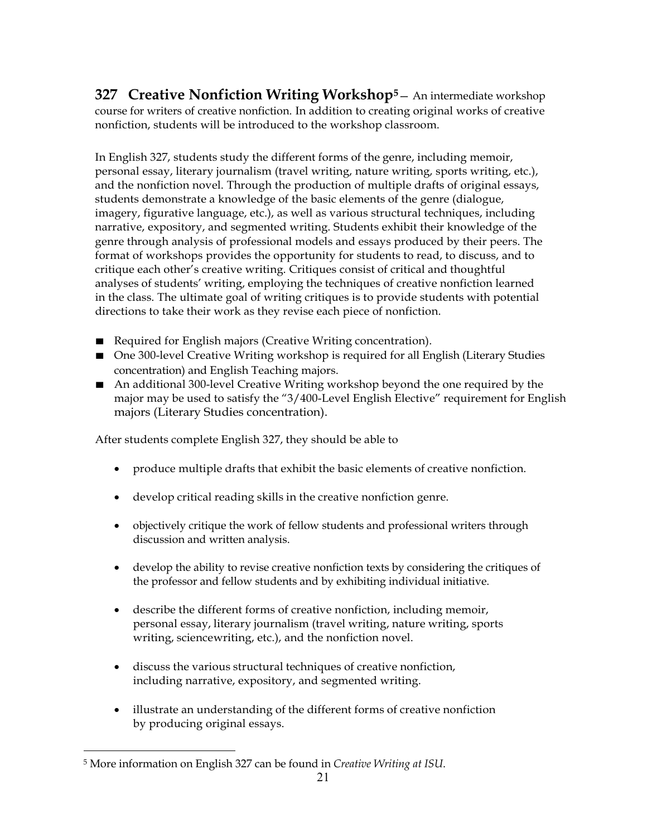**327 Creative Nonfiction Writing Workshop[5](#page-20-0)**— An intermediate workshop course for writers of creative nonfiction. In addition to creating original works of creative nonfiction, students will be introduced to the workshop classroom.

In English 327, students study the different forms of the genre, including memoir, personal essay, literary journalism (travel writing, nature writing, sports writing, etc.), and the nonfiction novel. Through the production of multiple drafts of original essays, students demonstrate a knowledge of the basic elements of the genre (dialogue, imagery, figurative language, etc.), as well as various structural techniques, including narrative, expository, and segmented writing. Students exhibit their knowledge of the genre through analysis of professional models and essays produced by their peers. The format of workshops provides the opportunity for students to read, to discuss, and to critique each other's creative writing. Critiques consist of critical and thoughtful analyses of students' writing, employing the techniques of creative nonfiction learned in the class. The ultimate goal of writing critiques is to provide students with potential directions to take their work as they revise each piece of nonfiction.

- Required for English majors (Creative Writing concentration).
- One 300-level Creative Writing workshop is required for all English (Literary Studies concentration) and English Teaching majors.
- An additional 300-level Creative Writing workshop beyond the one required by the major may be used to satisfy the "3/400-Level English Elective" requirement for English majors (Literary Studies concentration).

After students complete English 327, they should be able to

- produce multiple drafts that exhibit the basic elements of creative nonfiction.
- develop critical reading skills in the creative nonfiction genre.
- objectively critique the work of fellow students and professional writers through discussion and written analysis.
- develop the ability to revise creative nonfiction texts by considering the critiques of the professor and fellow students and by exhibiting individual initiative.
- describe the different forms of creative nonfiction, including memoir, personal essay, literary journalism (travel writing, nature writing, sports writing, sciencewriting, etc.), and the nonfiction novel.
- discuss the various structural techniques of creative nonfiction, including narrative, expository, and segmented writing.
- illustrate an understanding of the different forms of creative nonfiction by producing original essays.

<span id="page-20-0"></span><sup>5</sup> More information on English 327 can be found in *Creative Writing at ISU*.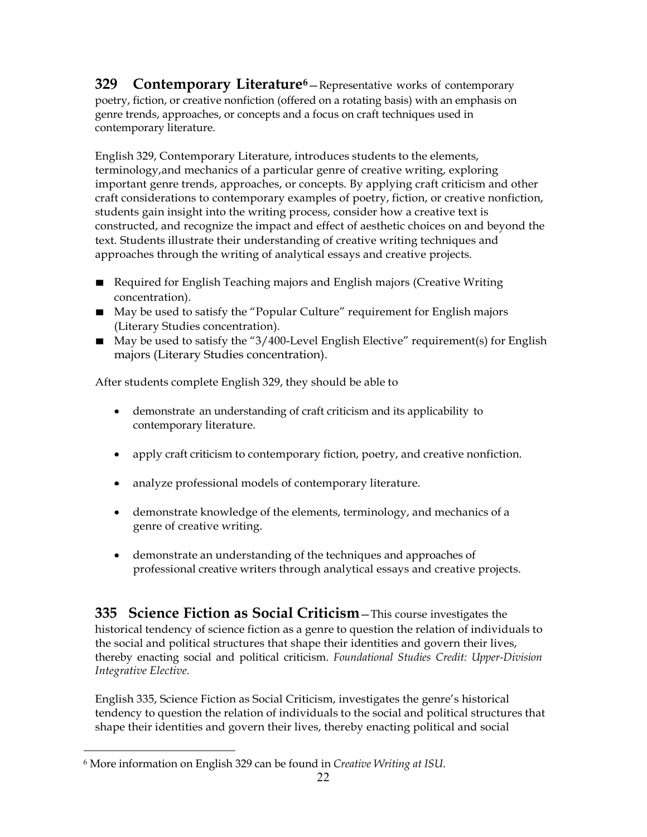**329 Contemporary Literature[6](#page-21-0)**—Representative works of contemporary poetry, fiction, or creative nonfiction (offered on a rotating basis) with an emphasis on genre trends, approaches, or concepts and a focus on craft techniques used in contemporary literature.

English 329, Contemporary Literature, introduces students to the elements, terminology,and mechanics of a particular genre of creative writing, exploring important genre trends, approaches, or concepts. By applying craft criticism and other craft considerations to contemporary examples of poetry, fiction, or creative nonfiction, students gain insight into the writing process, consider how a creative text is constructed, and recognize the impact and effect of aesthetic choices on and beyond the text. Students illustrate their understanding of creative writing techniques and approaches through the writing of analytical essays and creative projects.

- Required for English Teaching majors and English majors (Creative Writing concentration).
- May be used to satisfy the "Popular Culture" requirement for English majors (Literary Studies concentration).
- May be used to satisfy the "3/400-Level English Elective" requirement(s) for English majors (Literary Studies concentration).

After students complete English 329, they should be able to

- demonstrate an understanding of craft criticism and its applicability to contemporary literature.
- apply craft criticism to contemporary fiction, poetry, and creative nonfiction.
- analyze professional models of contemporary literature.
- demonstrate knowledge of the elements, terminology, and mechanics of a genre of creative writing.
- demonstrate an understanding of the techniques and approaches of professional creative writers through analytical essays and creative projects.

**335 Science Fiction as Social Criticism**—This course investigates the historical tendency of science fiction as a genre to question the relation of individuals to the social and political structures that shape their identities and govern their lives, thereby enacting social and political criticism. *Foundational Studies Credit: Upper-Division Integrative Elective.*

English 335, Science Fiction as Social Criticism, investigates the genre's historical tendency to question the relation of individuals to the social and political structures that shape their identities and govern their lives, thereby enacting political and social

<span id="page-21-0"></span><sup>6</sup> More information on English 329 can be found in *Creative Writing at ISU*.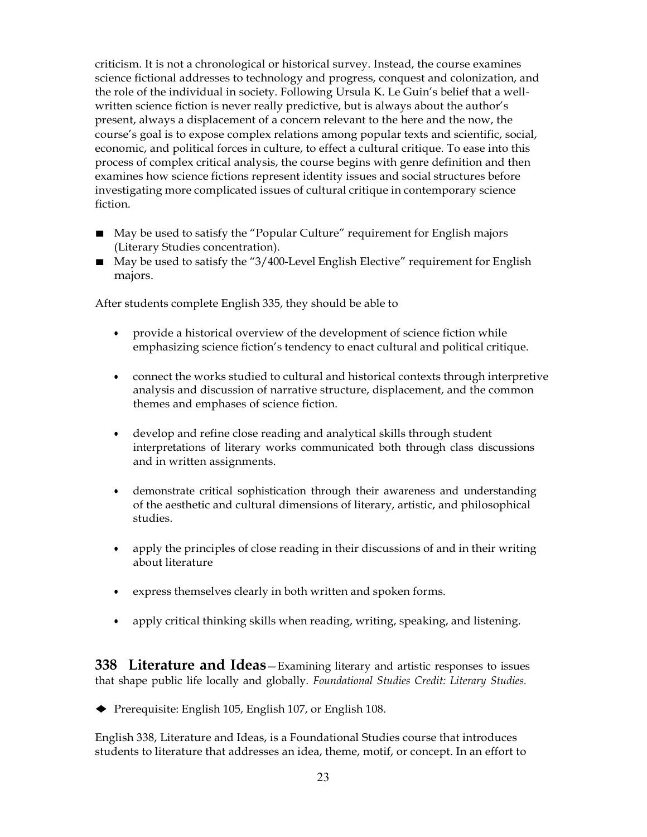criticism. It is not a chronological or historical survey. Instead, the course examines science fictional addresses to technology and progress, conquest and colonization, and the role of the individual in society. Following Ursula K. Le Guin's belief that a wellwritten science fiction is never really predictive, but is always about the author's present, always a displacement of a concern relevant to the here and the now, the course's goal is to expose complex relations among popular texts and scientific, social, economic, and political forces in culture, to effect a cultural critique. To ease into this process of complex critical analysis, the course begins with genre definition and then examines how science fictions represent identity issues and social structures before investigating more complicated issues of cultural critique in contemporary science fiction.

- May be used to satisfy the "Popular Culture" requirement for English majors (Literary Studies concentration).
- May be used to satisfy the "3/400-Level English Elective" requirement for English majors.

After students complete English 335, they should be able to

- provide a historical overview of the development of science fiction while emphasizing science fiction's tendency to enact cultural and political critique.
- connect the works studied to cultural and historical contexts through interpretive analysis and discussion of narrative structure, displacement, and the common themes and emphases of science fiction.
- develop and refine close reading and analytical skills through student interpretations of literary works communicated both through class discussions and in written assignments.
- demonstrate critical sophistication through their awareness and understanding of the aesthetic and cultural dimensions of literary, artistic, and philosophical studies.
- apply the principles of close reading in their discussions of and in their writing about literature
- express themselves clearly in both written and spoken forms.
- apply critical thinking skills when reading, writing, speaking, and listening.

**338 Literature and Ideas**—Examining literary and artistic responses to issues that shape public life locally and globally. *Foundational Studies Credit: Literary Studies.*

♦ Prerequisite: English 105, English 107, or English 108.

English 338, Literature and Ideas, is a Foundational Studies course that introduces students to literature that addresses an idea, theme, motif, or concept. In an effort to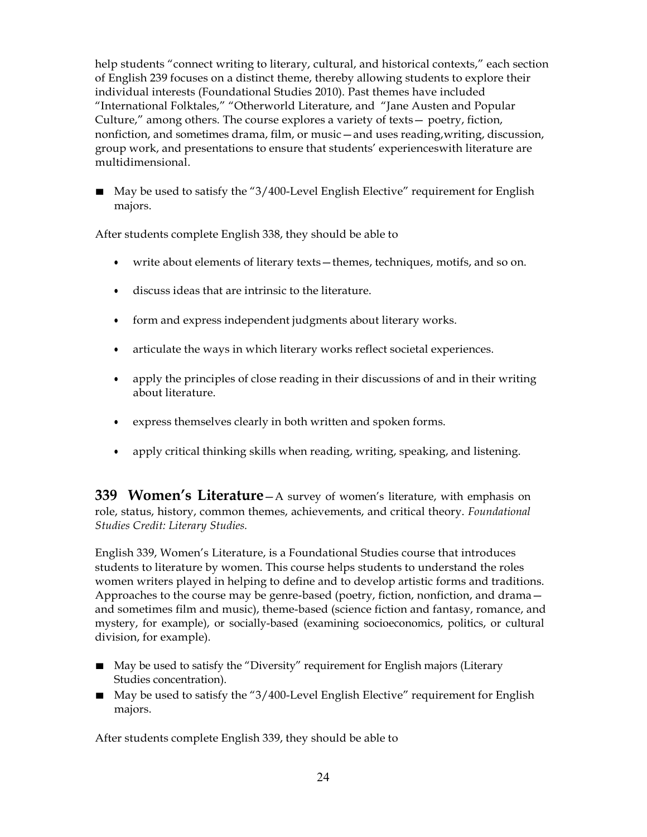help students "connect writing to literary, cultural, and historical contexts," each section of English 239 focuses on a distinct theme, thereby allowing students to explore their individual interests (Foundational Studies 2010). Past themes have included "International Folktales," "Otherworld Literature, and "Jane Austen and Popular Culture," among others. The course explores a variety of texts— poetry, fiction, nonfiction, and sometimes drama, film, or music—and uses reading,writing, discussion, group work, and presentations to ensure that students' experienceswith literature are multidimensional.

■ May be used to satisfy the "3/400-Level English Elective" requirement for English majors.

After students complete English 338, they should be able to

- write about elements of literary texts—themes, techniques, motifs, and so on.
- discuss ideas that are intrinsic to the literature.
- form and express independent judgments about literary works.
- articulate the ways in which literary works reflect societal experiences.
- apply the principles of close reading in their discussions of and in their writing about literature.
- express themselves clearly in both written and spoken forms.
- apply critical thinking skills when reading, writing, speaking, and listening.

**339 Women's Literature**—A survey of women's literature, with emphasis on role, status, history, common themes, achievements, and critical theory. *Foundational Studies Credit: Literary Studies.*

English 339, Women's Literature, is a Foundational Studies course that introduces students to literature by women. This course helps students to understand the roles women writers played in helping to define and to develop artistic forms and traditions. Approaches to the course may be genre-based (poetry, fiction, nonfiction, and drama and sometimes film and music), theme-based (science fiction and fantasy, romance, and mystery, for example), or socially-based (examining socioeconomics, politics, or cultural division, for example).

- May be used to satisfy the "Diversity" requirement for English majors (Literary Studies concentration).
- May be used to satisfy the "3/400-Level English Elective" requirement for English majors.

After students complete English 339, they should be able to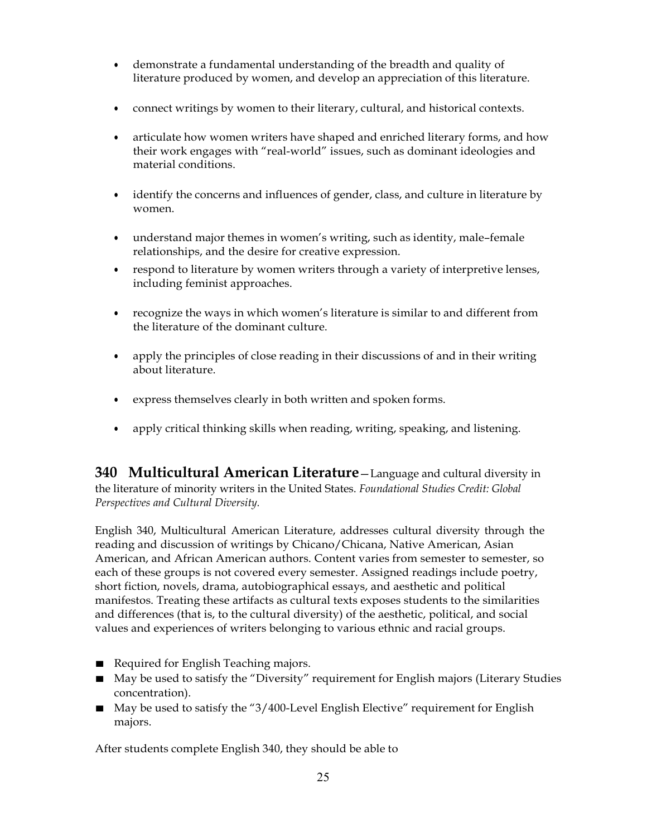- demonstrate a fundamental understanding of the breadth and quality of literature produced by women, and develop an appreciation of this literature.
- connect writings by women to their literary, cultural, and historical contexts.
- articulate how women writers have shaped and enriched literary forms, and how their work engages with "real-world" issues, such as dominant ideologies and material conditions.
- identify the concerns and influences of gender, class, and culture in literature by women.
- understand major themes in women's writing, such as identity, male–female relationships, and the desire for creative expression.
- respond to literature by women writers through a variety of interpretive lenses, including feminist approaches.
- recognize the ways in which women's literature is similar to and different from the literature of the dominant culture.
- apply the principles of close reading in their discussions of and in their writing about literature.
- express themselves clearly in both written and spoken forms.
- apply critical thinking skills when reading, writing, speaking, and listening.

**340 Multicultural American Literature**—Language and cultural diversity in the literature of minority writers in the United States. *Foundational Studies Credit: Global Perspectives and Cultural Diversity.*

English 340, Multicultural American Literature, addresses cultural diversity through the reading and discussion of writings by Chicano/Chicana, Native American, Asian American, and African American authors. Content varies from semester to semester, so each of these groups is not covered every semester. Assigned readings include poetry, short fiction, novels, drama, autobiographical essays, and aesthetic and political manifestos. Treating these artifacts as cultural texts exposes students to the similarities and differences (that is, to the cultural diversity) of the aesthetic, political, and social values and experiences of writers belonging to various ethnic and racial groups.

- Required for English Teaching majors.
- May be used to satisfy the "Diversity" requirement for English majors (Literary Studies concentration).
- May be used to satisfy the "3/400-Level English Elective" requirement for English majors.

After students complete English 340, they should be able to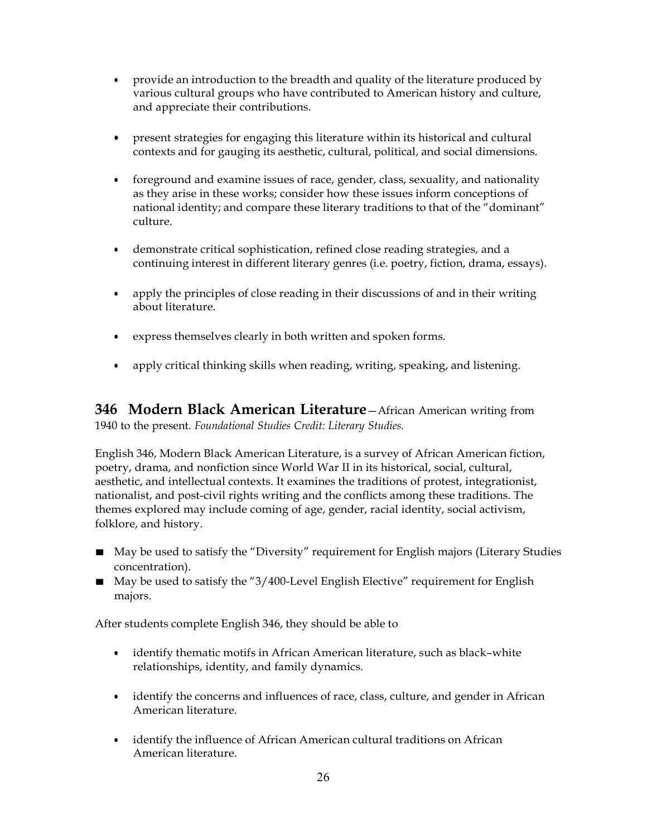- provide an introduction to the breadth and quality of the literature produced by various cultural groups who have contributed to American history and culture, and appreciate their contributions.
- present strategies for engaging this literature within its historical and cultural contexts and for gauging its aesthetic, cultural, political, and social dimensions.
- foreground and examine issues of race, gender, class, sexuality, and nationality as they arise in these works; consider how these issues inform conceptions of national identity; and compare these literary traditions to that of the "dominant" culture.
- demonstrate critical sophistication, refined close reading strategies, and a continuing interest in different literary genres (i.e. poetry, fiction, drama, essays).
- apply the principles of close reading in their discussions of and in their writing about literature.
- express themselves clearly in both written and spoken forms.
- apply critical thinking skills when reading, writing, speaking, and listening.

**346 Modern Black American Literature**—African American writing from 1940 to the present. *Foundational Studies Credit: Literary Studies.*

English 346, Modern Black American Literature, is a survey of African American fiction, poetry, drama, and nonfiction since World War II in its historical, social, cultural, aesthetic, and intellectual contexts. It examines the traditions of protest, integrationist, nationalist, and post-civil rights writing and the conflicts among these traditions. The themes explored may include coming of age, gender, racial identity, social activism, folklore, and history.

- May be used to satisfy the "Diversity" requirement for English majors (Literary Studies concentration).
- May be used to satisfy the "3/400-Level English Elective" requirement for English majors.

After students complete English 346, they should be able to

- identify thematic motifs in African American literature, such as black–white relationships, identity, and family dynamics.
- identify the concerns and influences of race, class, culture, and gender in African American literature.
- identify the influence of African American cultural traditions on African American literature.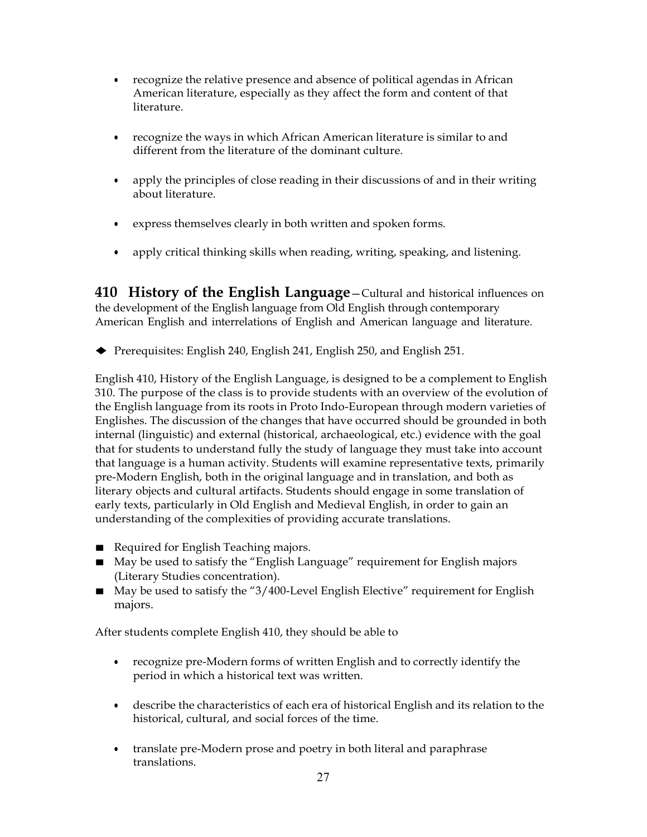- recognize the relative presence and absence of political agendas in African American literature, especially as they affect the form and content of that literature.
- recognize the ways in which African American literature is similar to and different from the literature of the dominant culture.
- apply the principles of close reading in their discussions of and in their writing about literature.
- express themselves clearly in both written and spoken forms.
- apply critical thinking skills when reading, writing, speaking, and listening.

**410 History of the English Language**—Cultural and historical influences on the development of the English language from Old English through contemporary American English and interrelations of English and American language and literature.

♦ Prerequisites: English 240, English 241, English 250, and English 251.

English 410, History of the English Language, is designed to be a complement to English 310. The purpose of the class is to provide students with an overview of the evolution of the English language from its roots in Proto Indo-European through modern varieties of Englishes. The discussion of the changes that have occurred should be grounded in both internal (linguistic) and external (historical, archaeological, etc.) evidence with the goal that for students to understand fully the study of language they must take into account that language is a human activity. Students will examine representative texts, primarily pre-Modern English, both in the original language and in translation, and both as literary objects and cultural artifacts. Students should engage in some translation of early texts, particularly in Old English and Medieval English, in order to gain an understanding of the complexities of providing accurate translations.

- Required for English Teaching majors.
- May be used to satisfy the "English Language" requirement for English majors (Literary Studies concentration).
- May be used to satisfy the "3/400-Level English Elective" requirement for English majors.

After students complete English 410, they should be able to

- recognize pre-Modern forms of written English and to correctly identify the period in which a historical text was written.
- describe the characteristics of each era of historical English and its relation to the historical, cultural, and social forces of the time.
- translate pre-Modern prose and poetry in both literal and paraphrase translations.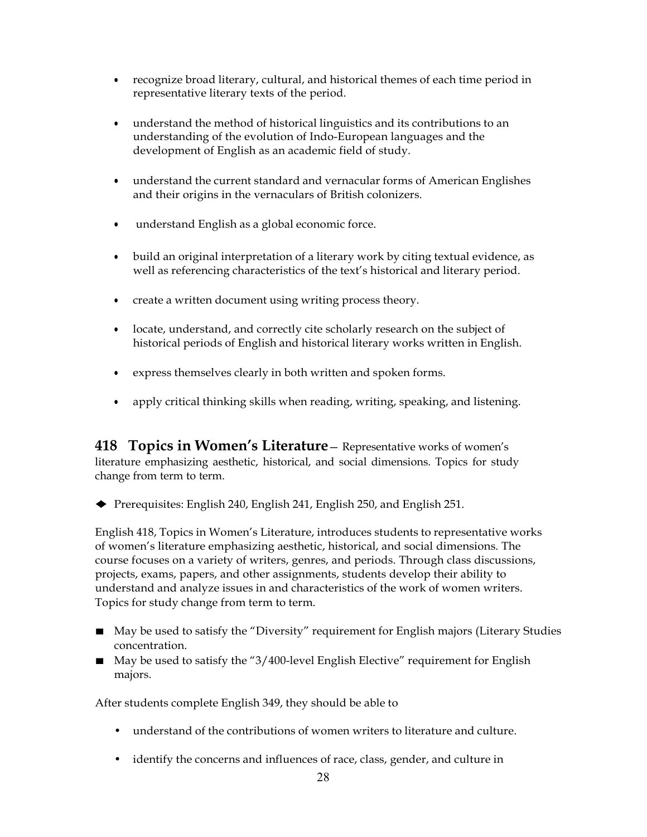- recognize broad literary, cultural, and historical themes of each time period in representative literary texts of the period.
- understand the method of historical linguistics and its contributions to an understanding of the evolution of Indo-European languages and the development of English as an academic field of study.
- understand the current standard and vernacular forms of American Englishes and their origins in the vernaculars of British colonizers.
- understand English as a global economic force.
- build an original interpretation of a literary work by citing textual evidence, as well as referencing characteristics of the text's historical and literary period.
- create a written document using writing process theory.
- locate, understand, and correctly cite scholarly research on the subject of historical periods of English and historical literary works written in English.
- express themselves clearly in both written and spoken forms.
- apply critical thinking skills when reading, writing, speaking, and listening.

**418 Topics in Women's Literature**— Representative works of women's literature emphasizing aesthetic, historical, and social dimensions. Topics for study change from term to term.

♦ Prerequisites: English 240, English 241, English 250, and English 251.

English 418, Topics in Women's Literature, introduces students to representative works of women's literature emphasizing aesthetic, historical, and social dimensions. The course focuses on a variety of writers, genres, and periods. Through class discussions, projects, exams, papers, and other assignments, students develop their ability to understand and analyze issues in and characteristics of the work of women writers. Topics for study change from term to term.

- May be used to satisfy the "Diversity" requirement for English majors (Literary Studies concentration.
- May be used to satisfy the "3/400-level English Elective" requirement for English majors.

After students complete English 349, they should be able to

- understand of the contributions of women writers to literature and culture.
- identify the concerns and influences of race, class, gender, and culture in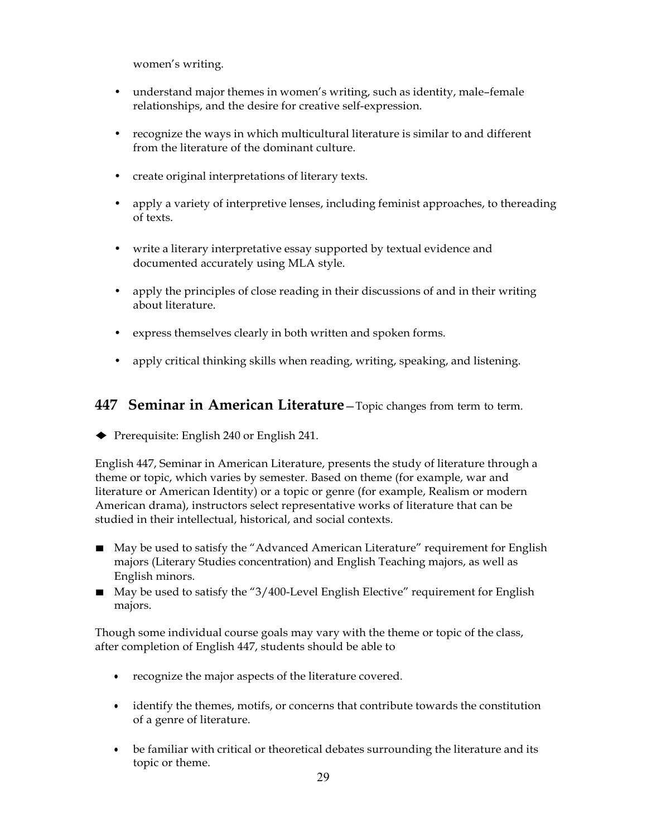women's writing.

- understand major themes in women's writing, such as identity, male-female relationships, and the desire for creative self-expression.
- recognize the ways in which multicultural literature is similar to and different from the literature of the dominant culture.
- create original interpretations of literary texts.
- apply a variety of interpretive lenses, including feminist approaches, to thereading of texts.
- write a literary interpretative essay supported by textual evidence and documented accurately using MLA style.
- apply the principles of close reading in their discussions of and in their writing about literature.
- express themselves clearly in both written and spoken forms.
- apply critical thinking skills when reading, writing, speaking, and listening.

#### **447 Seminar in American Literature**—Topic changes from term to term.

♦ Prerequisite: English <sup>240</sup> or English 241.

English 447, Seminar in American Literature, presents the study of literature through a theme or topic, which varies by semester. Based on theme (for example, war and literature or American Identity) or a topic or genre (for example, Realism or modern American drama), instructors select representative works of literature that can be studied in their intellectual, historical, and social contexts.

- May be used to satisfy the "Advanced American Literature" requirement for English majors (Literary Studies concentration) and English Teaching majors, as well as English minors.
- May be used to satisfy the "3/400-Level English Elective" requirement for English majors.

Though some individual course goals may vary with the theme or topic of the class, after completion of English 447, students should be able to

- recognize the major aspects of the literature covered.
- identify the themes, motifs, or concerns that contribute towards the constitution of a genre of literature.
- be familiar with critical or theoretical debates surrounding the literature and its topic or theme.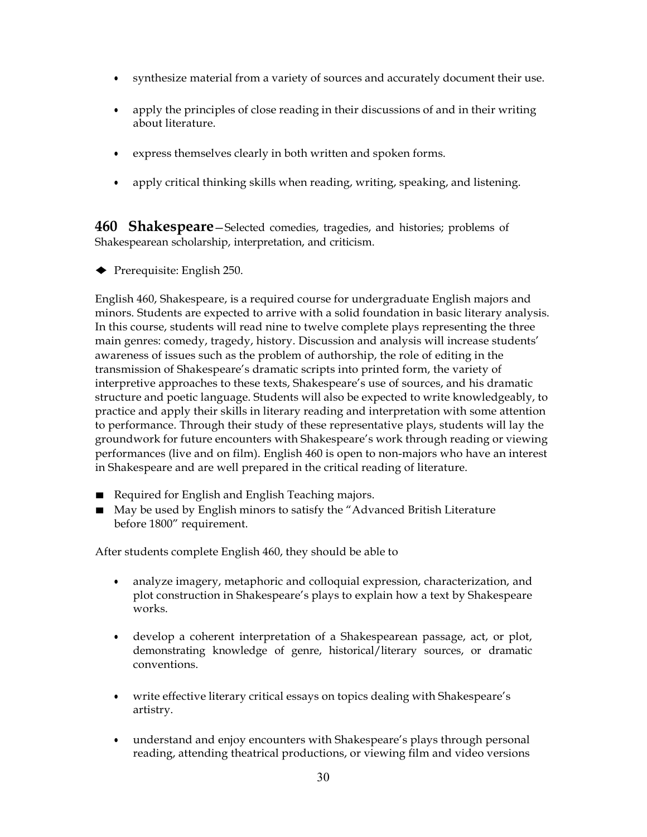- synthesize material from a variety of sources and accurately document their use.
- apply the principles of close reading in their discussions of and in their writing about literature.
- express themselves clearly in both written and spoken forms.
- apply critical thinking skills when reading, writing, speaking, and listening.

**460 Shakespeare**—Selected comedies, tragedies, and histories; problems of Shakespearean scholarship, interpretation, and criticism.

◆ Prerequisite: English 250.

English 460, Shakespeare, is a required course for undergraduate English majors and minors. Students are expected to arrive with a solid foundation in basic literary analysis. In this course, students will read nine to twelve complete plays representing the three main genres: comedy, tragedy, history. Discussion and analysis will increase students' awareness of issues such as the problem of authorship, the role of editing in the transmission of Shakespeare's dramatic scripts into printed form, the variety of interpretive approaches to these texts, Shakespeare's use of sources, and his dramatic structure and poetic language. Students will also be expected to write knowledgeably, to practice and apply their skills in literary reading and interpretation with some attention to performance. Through their study of these representative plays, students will lay the groundwork for future encounters with Shakespeare's work through reading or viewing performances (live and on film). English 460 is open to non-majors who have an interest in Shakespeare and are well prepared in the critical reading of literature.

- Required for English and English Teaching majors.
- May be used by English minors to satisfy the "Advanced British Literature before 1800" requirement.

After students complete English 460, they should be able to

- analyze imagery, metaphoric and colloquial expression, characterization, and plot construction in Shakespeare's plays to explain how a text by Shakespeare works.
- develop a coherent interpretation of a Shakespearean passage, act, or plot, demonstrating knowledge of genre, historical/literary sources, or dramatic conventions.
- write effective literary critical essays on topics dealing with Shakespeare's artistry.
- understand and enjoy encounters with Shakespeare's plays through personal reading, attending theatrical productions, or viewing film and video versions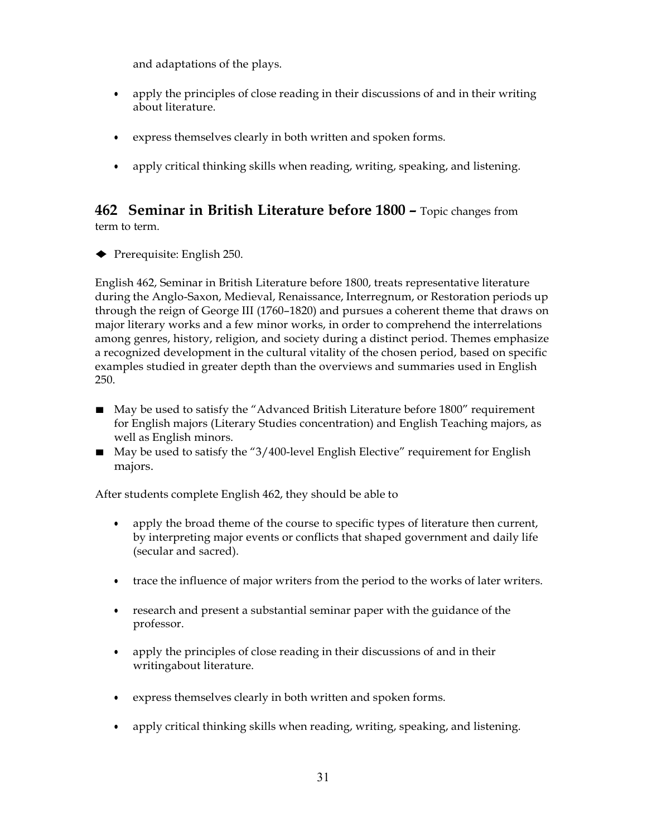and adaptations of the plays.

- apply the principles of close reading in their discussions of and in their writing about literature.
- express themselves clearly in both written and spoken forms.
- apply critical thinking skills when reading, writing, speaking, and listening.

### **462 Seminar in British Literature before 1800 –** Topic changes from term to term.

♦ Prerequisite: English 250.

English 462, Seminar in British Literature before 1800, treats representative literature during the Anglo-Saxon, Medieval, Renaissance, Interregnum, or Restoration periods up through the reign of George III (1760–1820) and pursues a coherent theme that draws on major literary works and a few minor works, in order to comprehend the interrelations among genres, history, religion, and society during a distinct period. Themes emphasize a recognized development in the cultural vitality of the chosen period, based on specific examples studied in greater depth than the overviews and summaries used in English 250.

- May be used to satisfy the "Advanced British Literature before 1800" requirement for English majors (Literary Studies concentration) and English Teaching majors, as well as English minors.
- May be used to satisfy the "3/400-level English Elective" requirement for English majors.

After students complete English 462, they should be able to

- apply the broad theme of the course to specific types of literature then current, by interpreting major events or conflicts that shaped government and daily life (secular and sacred).
- trace the influence of major writers from the period to the works of later writers.
- research and present a substantial seminar paper with the guidance of the professor.
- apply the principles of close reading in their discussions of and in their writingabout literature.
- express themselves clearly in both written and spoken forms.
- apply critical thinking skills when reading, writing, speaking, and listening.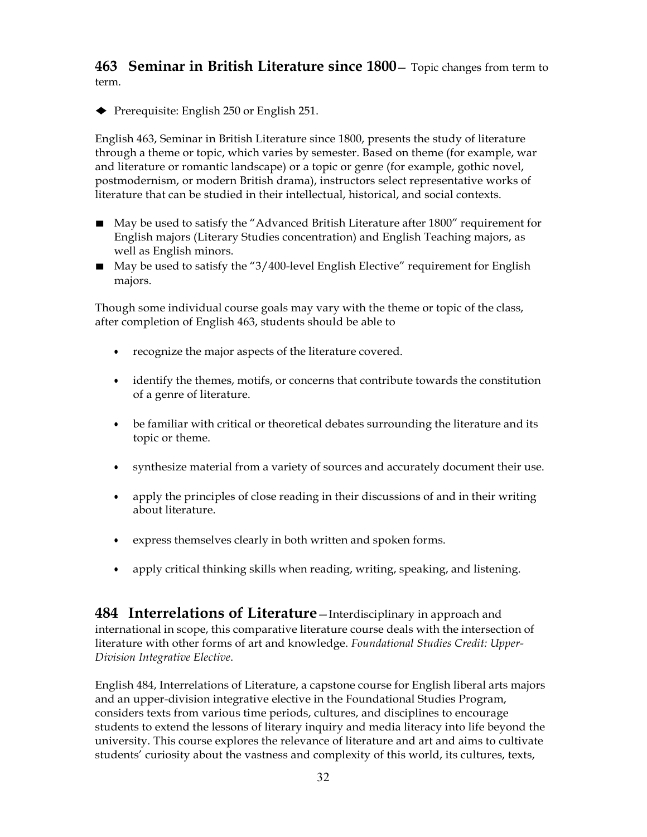**463 Seminar in British Literature since 1800**— Topic changes from term to term.

♦ Prerequisite: English <sup>250</sup> or English 251.

English 463, Seminar in British Literature since 1800, presents the study of literature through a theme or topic, which varies by semester. Based on theme (for example, war and literature or romantic landscape) or a topic or genre (for example, gothic novel, postmodernism, or modern British drama), instructors select representative works of literature that can be studied in their intellectual, historical, and social contexts.

- May be used to satisfy the "Advanced British Literature after 1800" requirement for English majors (Literary Studies concentration) and English Teaching majors, as well as English minors.
- May be used to satisfy the "3/400-level English Elective" requirement for English majors.

Though some individual course goals may vary with the theme or topic of the class, after completion of English 463, students should be able to

- recognize the major aspects of the literature covered.
- identify the themes, motifs, or concerns that contribute towards the constitution of a genre of literature.
- be familiar with critical or theoretical debates surrounding the literature and its topic or theme.
- synthesize material from a variety of sources and accurately document their use.
- apply the principles of close reading in their discussions of and in their writing about literature.
- express themselves clearly in both written and spoken forms.
- apply critical thinking skills when reading, writing, speaking, and listening.

**484 Interrelations of Literature**—Interdisciplinary in approach and international in scope, this comparative literature course deals with the intersection of literature with other forms of art and knowledge. *Foundational Studies Credit: Upper-Division Integrative Elective*.

English 484, Interrelations of Literature, a capstone course for English liberal arts majors and an upper-division integrative elective in the Foundational Studies Program, considers texts from various time periods, cultures, and disciplines to encourage students to extend the lessons of literary inquiry and media literacy into life beyond the university. This course explores the relevance of literature and art and aims to cultivate students' curiosity about the vastness and complexity of this world, its cultures, texts,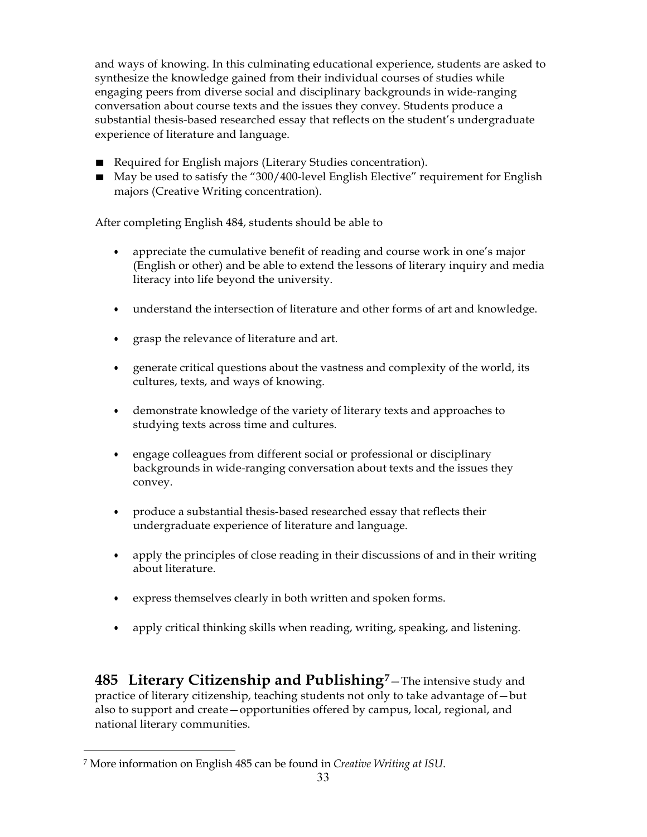and ways of knowing. In this culminating educational experience, students are asked to synthesize the knowledge gained from their individual courses of studies while engaging peers from diverse social and disciplinary backgrounds in wide-ranging conversation about course texts and the issues they convey. Students produce a substantial thesis-based researched essay that reflects on the student's undergraduate experience of literature and language.

- Required for English majors (Literary Studies concentration).
- May be used to satisfy the "300/400-level English Elective" requirement for English majors (Creative Writing concentration).

After completing English 484, students should be able to

- appreciate the cumulative benefit of reading and course work in one's major (English or other) and be able to extend the lessons of literary inquiry and media literacy into life beyond the university.
- understand the intersection of literature and other forms of art and knowledge.
- grasp the relevance of literature and art.
- generate critical questions about the vastness and complexity of the world, its cultures, texts, and ways of knowing.
- demonstrate knowledge of the variety of literary texts and approaches to studying texts across time and cultures.
- engage colleagues from different social or professional or disciplinary backgrounds in wide-ranging conversation about texts and the issues they convey.
- produce a substantial thesis-based researched essay that reflects their undergraduate experience of literature and language.
- apply the principles of close reading in their discussions of and in their writing about literature.
- express themselves clearly in both written and spoken forms.
- apply critical thinking skills when reading, writing, speaking, and listening.

**485 Literary Citizenship and Publishing[7](#page-32-0)**—The intensive study and practice of literary citizenship, teaching students not only to take advantage of—but also to support and create—opportunities offered by campus, local, regional, and national literary communities.

<span id="page-32-0"></span><sup>7</sup> More information on English 485 can be found in *Creative Writing at ISU*.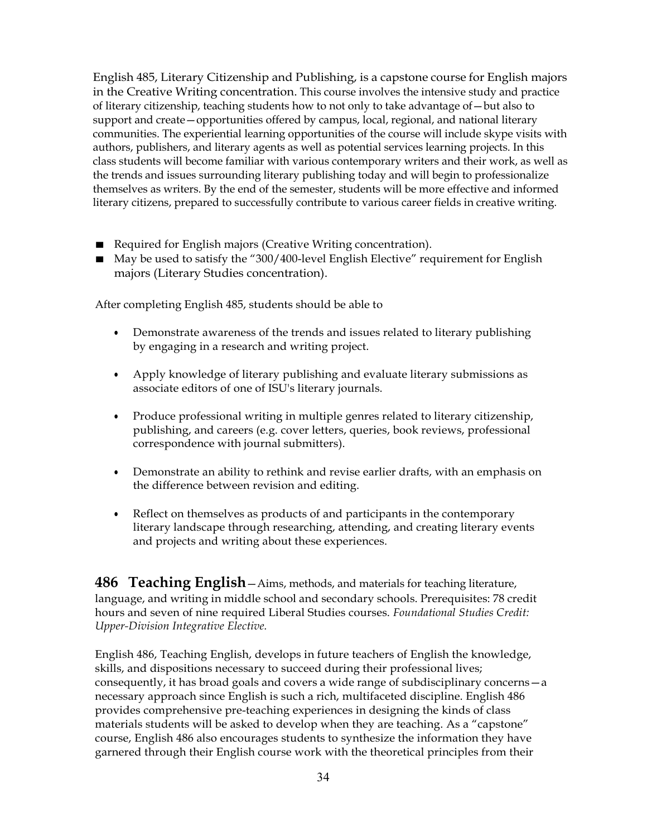English 485, Literary Citizenship and Publishing, is a capstone course for English majors in the Creative Writing concentration. This course involves the intensive study and practice of literary citizenship, teaching students how to not only to take advantage of—but also to support and create—opportunities offered by campus, local, regional, and national literary communities. The experiential learning opportunities of the course will include skype visits with authors, publishers, and literary agents as well as potential services learning projects. In this class students will become familiar with various contemporary writers and their work, as well as the trends and issues surrounding literary publishing today and will begin to professionalize themselves as writers. By the end of the semester, students will be more effective and informed literary citizens, prepared to successfully contribute to various career fields in creative writing.

- Required for English majors (Creative Writing concentration).
- May be used to satisfy the "300/400-level English Elective" requirement for English majors (Literary Studies concentration).

After completing English 485, students should be able to

- Demonstrate awareness of the trends and issues related to literary publishing by engaging in a research and writing project.
- Apply knowledge of literary publishing and evaluate literary submissions as associate editors of one of ISU's literary journals.
- Produce professional writing in multiple genres related to literary citizenship, publishing, and careers (e.g. cover letters, queries, book reviews, professional correspondence with journal submitters).
- Demonstrate an ability to rethink and revise earlier drafts, with an emphasis on the difference between revision and editing.
- Reflect on themselves as products of and participants in the contemporary literary landscape through researching, attending, and creating literary events and projects and writing about these experiences.

**486 Teaching English**—Aims, methods, and materials for teaching literature, language, and writing in middle school and secondary schools. Prerequisites: 78 credit hours and seven of nine required Liberal Studies courses. *Foundational Studies Credit: Upper-Division Integrative Elective.*

English 486, Teaching English, develops in future teachers of English the knowledge, skills, and dispositions necessary to succeed during their professional lives; consequently, it has broad goals and covers a wide range of subdisciplinary concerns—a necessary approach since English is such a rich, multifaceted discipline. English 486 provides comprehensive pre-teaching experiences in designing the kinds of class materials students will be asked to develop when they are teaching. As a "capstone" course, English 486 also encourages students to synthesize the information they have garnered through their English course work with the theoretical principles from their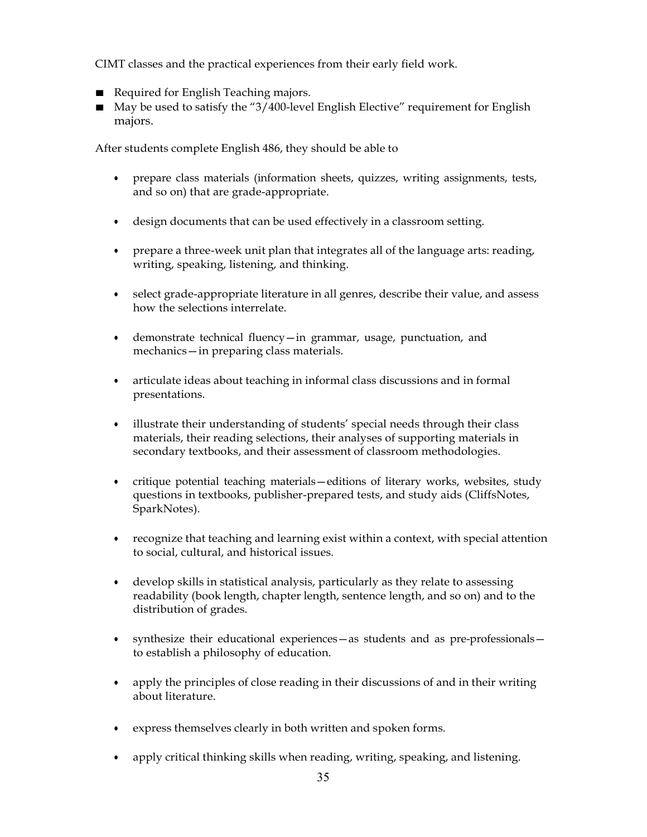CIMT classes and the practical experiences from their early field work.

- Required for English Teaching majors.
- May be used to satisfy the "3/400-level English Elective" requirement for English majors.

After students complete English 486, they should be able to

- prepare class materials (information sheets, quizzes, writing assignments, tests, and so on) that are grade-appropriate.
- design documents that can be used effectively in a classroom setting.
- prepare a three-week unit plan that integrates all of the language arts: reading, writing, speaking, listening, and thinking.
- select grade-appropriate literature in all genres, describe their value, and assess how the selections interrelate.
- demonstrate technical fluency—in grammar, usage, punctuation, and mechanics—in preparing class materials.
- articulate ideas about teaching in informal class discussions and in formal presentations.
- illustrate their understanding of students' special needs through their class materials, their reading selections, their analyses of supporting materials in secondary textbooks, and their assessment of classroom methodologies.
- critique potential teaching materials—editions of literary works, websites, study questions in textbooks, publisher-prepared tests, and study aids (CliffsNotes, SparkNotes).
- recognize that teaching and learning exist within a context, with special attention to social, cultural, and historical issues.
- develop skills in statistical analysis, particularly as they relate to assessing readability (book length, chapter length, sentence length, and so on) and to the distribution of grades.
- synthesize their educational experiences—as students and as pre-professionals to establish a philosophy of education.
- apply the principles of close reading in their discussions of and in their writing about literature.
- express themselves clearly in both written and spoken forms.
- apply critical thinking skills when reading, writing, speaking, and listening.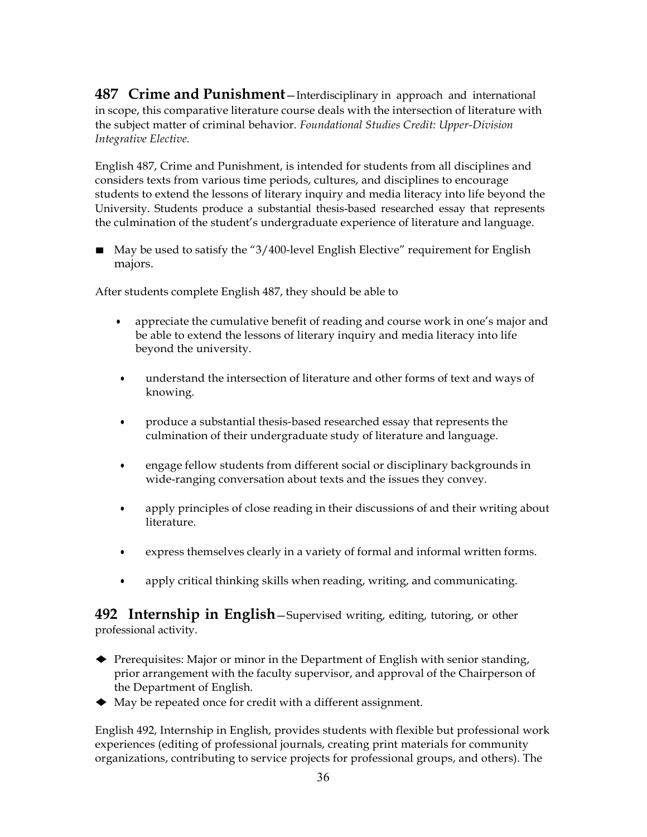**487 Crime and Punishment**—Interdisciplinary in approach and international in scope, this comparative literature course deals with the intersection of literature with the subject matter of criminal behavior. *Foundational Studies Credit: Upper-Division Integrative Elective.*

English 487, Crime and Punishment, is intended for students from all disciplines and considers texts from various time periods, cultures, and disciplines to encourage students to extend the lessons of literary inquiry and media literacy into life beyond the University. Students produce a substantial thesis-based researched essay that represents the culmination of the student's undergraduate experience of literature and language.

■ May be used to satisfy the "3/400-level English Elective" requirement for English majors.

After students complete English 487, they should be able to

- appreciate the cumulative benefit of reading and course work in one's major and be able to extend the lessons of literary inquiry and media literacy into life beyond the university.
- understand the intersection of literature and other forms of text and ways of knowing.
- produce a substantial thesis-based researched essay that represents the culmination of their undergraduate study of literature and language.
- engage fellow students from different social or disciplinary backgrounds in wide-ranging conversation about texts and the issues they convey.
- apply principles of close reading in their discussions of and their writing about literature.
- express themselves clearly in a variety of formal and informal written forms.
- apply critical thinking skills when reading, writing, and communicating.

**492 Internship in English**—Supervised writing, editing, tutoring, or other professional activity.

- ♦ Prerequisites: Major or minor in the Department of English with senior standing, prior arrangement with the faculty supervisor, and approval of the Chairperson of the Department of English.
- ♦ May be repeated once for credit with <sup>a</sup> different assignment.

English 492, Internship in English, provides students with flexible but professional work experiences (editing of professional journals, creating print materials for community organizations, contributing to service projects for professional groups, and others). The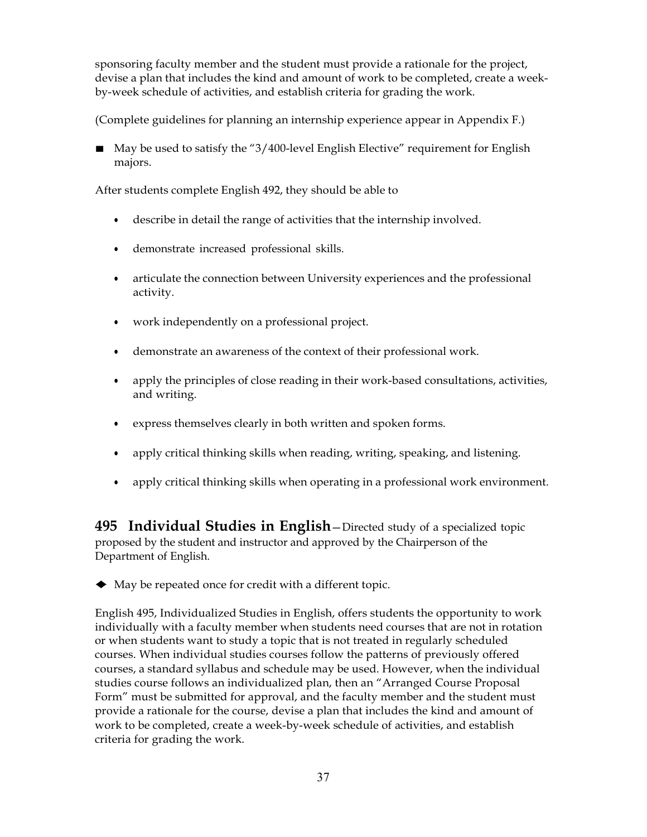sponsoring faculty member and the student must provide a rationale for the project, devise a plan that includes the kind and amount of work to be completed, create a weekby-week schedule of activities, and establish criteria for grading the work.

(Complete guidelines for planning an internship experience appear in Appendix F.)

■ May be used to satisfy the "3/400-level English Elective" requirement for English majors.

After students complete English 492, they should be able to

- describe in detail the range of activities that the internship involved.
- demonstrate increased professional skills.
- articulate the connection between University experiences and the professional activity.
- work independently on a professional project.
- demonstrate an awareness of the context of their professional work.
- apply the principles of close reading in their work-based consultations, activities, and writing.
- express themselves clearly in both written and spoken forms.
- apply critical thinking skills when reading, writing, speaking, and listening.
- apply critical thinking skills when operating in a professional work environment.

**495 Individual Studies in English**—Directed study of a specialized topic proposed by the student and instructor and approved by the Chairperson of the Department of English.

♦ May be repeated once for credit with <sup>a</sup> different topic.

English 495, Individualized Studies in English, offers students the opportunity to work individually with a faculty member when students need courses that are not in rotation or when students want to study a topic that is not treated in regularly scheduled courses. When individual studies courses follow the patterns of previously offered courses, a standard syllabus and schedule may be used. However, when the individual studies course follows an individualized plan, then an "Arranged Course Proposal Form" must be submitted for approval, and the faculty member and the student must provide a rationale for the course, devise a plan that includes the kind and amount of work to be completed, create a week-by-week schedule of activities, and establish criteria for grading the work.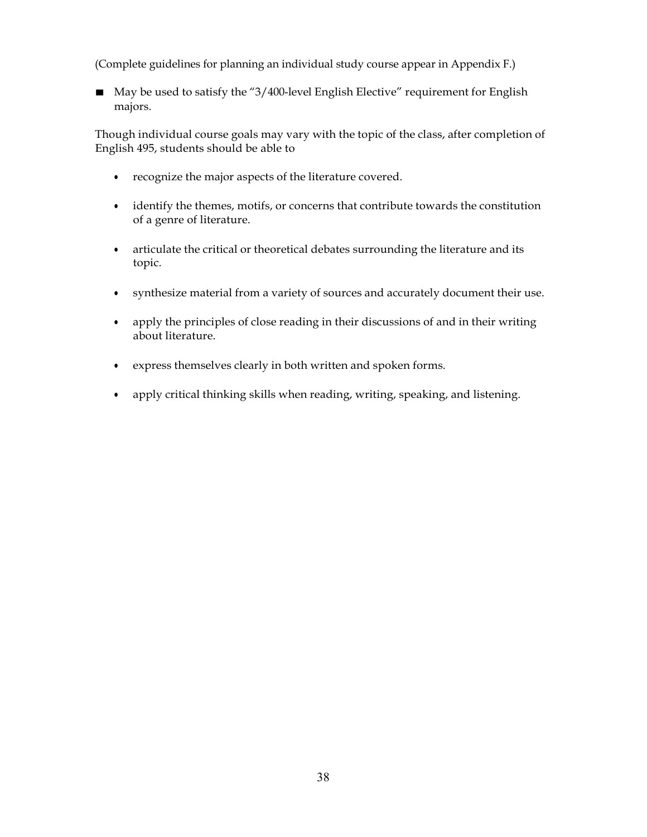(Complete guidelines for planning an individual study course appear in Appendix F.)

■ May be used to satisfy the "3/400-level English Elective" requirement for English majors.

Though individual course goals may vary with the topic of the class, after completion of English 495, students should be able to

- recognize the major aspects of the literature covered.
- identify the themes, motifs, or concerns that contribute towards the constitution of a genre of literature.
- articulate the critical or theoretical debates surrounding the literature and its topic.
- synthesize material from a variety of sources and accurately document their use.
- apply the principles of close reading in their discussions of and in their writing about literature.
- express themselves clearly in both written and spoken forms.
- apply critical thinking skills when reading, writing, speaking, and listening.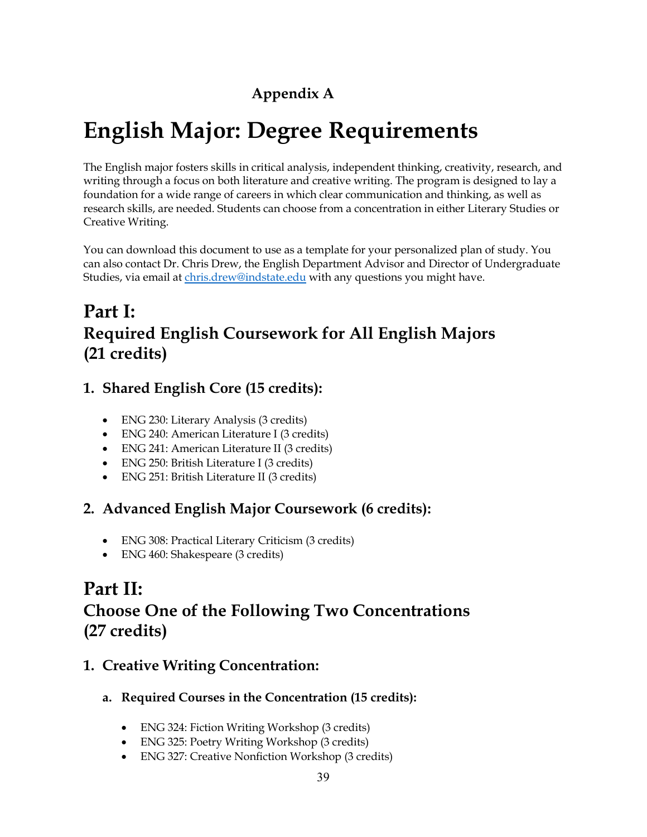# **Appendix A**

# **English Major: Degree Requirements**

The English major fosters skills in critical analysis, independent thinking, creativity, research, and writing through a focus on both literature and creative writing. The program is designed to lay a foundation for a wide range of careers in which clear communication and thinking, as well as research skills, are needed. Students can choose from a concentration in either Literary Studies or Creative Writing.

You can download this document to use as a template for your personalized plan of study. You can also contact Dr. Chris Drew, the English Department Advisor and Director of Undergraduate Studies, via email at [chris.drew@indstate.edu](mailto:chris.drew@indstate.edu) with any questions you might have.

# **Part I: Required English Coursework for All English Majors (21 credits)**

# **1. Shared English Core (15 credits):**

- ENG 230: Literary Analysis (3 credits)
- ENG 240: American Literature I (3 credits)
- ENG 241: American Literature II (3 credits)
- ENG 250: British Literature I (3 credits)
- ENG 251: British Literature II (3 credits)

## **2. Advanced English Major Coursework (6 credits):**

- ENG 308: Practical Literary Criticism (3 credits)
- ENG 460: Shakespeare (3 credits)

# **Part II: Choose One of the Following Two Concentrations (27 credits)**

## **1. Creative Writing Concentration:**

- **a. Required Courses in the Concentration (15 credits):**
	- ENG 324: Fiction Writing Workshop (3 credits)
	- ENG 325: Poetry Writing Workshop (3 credits)
	- ENG 327: Creative Nonfiction Workshop (3 credits)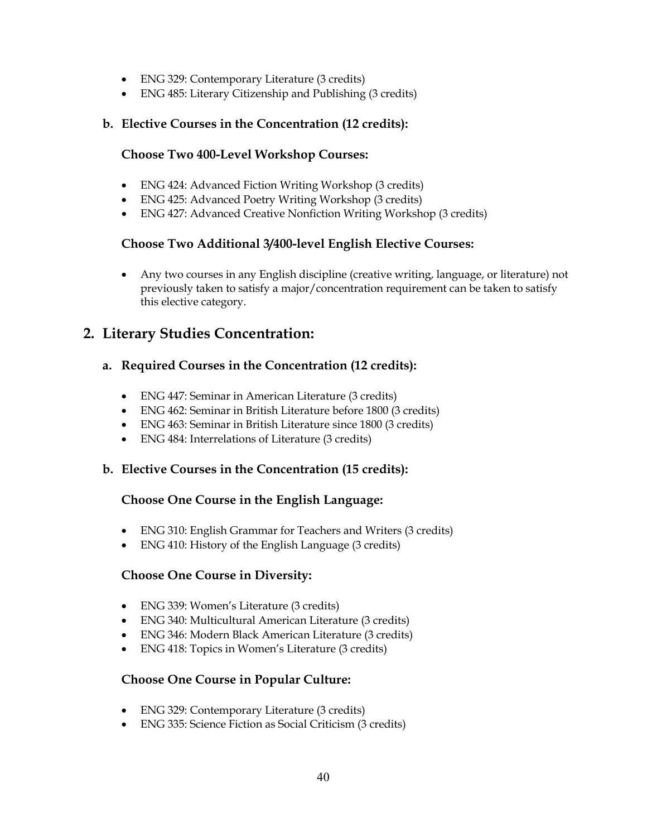- ENG 329: Contemporary Literature (3 credits)
- ENG 485: Literary Citizenship and Publishing (3 credits)

#### **b. Elective Courses in the Concentration (12 credits):**

#### **Choose Two 400-Level Workshop Courses:**

- ENG 424: Advanced Fiction Writing Workshop (3 credits)
- ENG 425: Advanced Poetry Writing Workshop (3 credits)
- ENG 427: Advanced Creative Nonfiction Writing Workshop (3 credits)

#### **Choose Two Additional 3/400-level English Elective Courses:**

• Any two courses in any English discipline (creative writing, language, or literature) not previously taken to satisfy a major/concentration requirement can be taken to satisfy this elective category.

## **2. Literary Studies Concentration:**

#### **a. Required Courses in the Concentration (12 credits):**

- ENG 447: Seminar in American Literature (3 credits)
- ENG 462: Seminar in British Literature before 1800 (3 credits)
- ENG 463: Seminar in British Literature since 1800 (3 credits)
- ENG 484: Interrelations of Literature (3 credits)

#### **b. Elective Courses in the Concentration (15 credits):**

#### **Choose One Course in the English Language:**

- ENG 310: English Grammar for Teachers and Writers (3 credits)
- ENG 410: History of the English Language (3 credits)

#### **Choose One Course in Diversity:**

- ENG 339: Women's Literature (3 credits)
- ENG 340: Multicultural American Literature (3 credits)
- ENG 346: Modern Black American Literature (3 credits)
- ENG 418: Topics in Women's Literature (3 credits)

#### **Choose One Course in Popular Culture:**

- ENG 329: Contemporary Literature (3 credits)
- ENG 335: Science Fiction as Social Criticism (3 credits)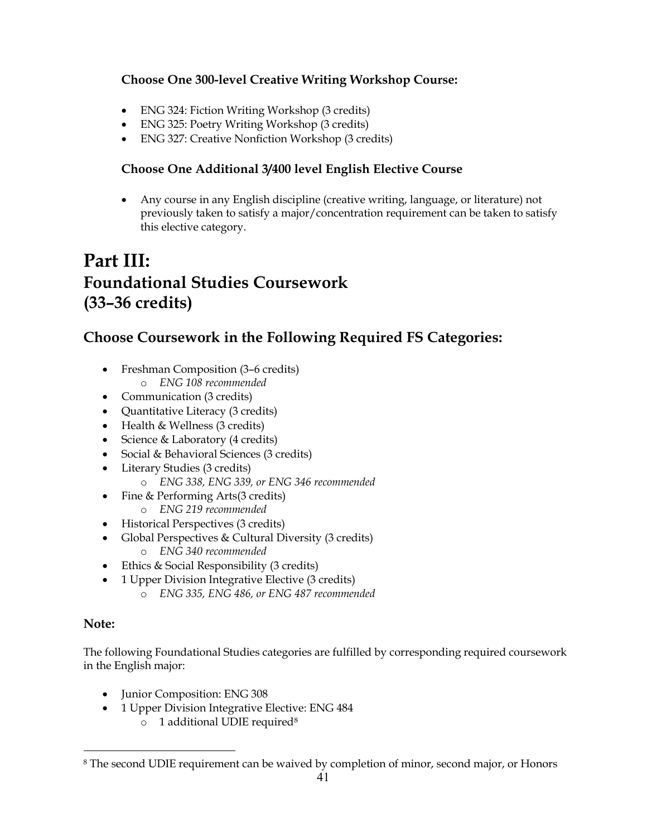### **Choose One 300-level Creative Writing Workshop Course:**

- ENG 324: Fiction Writing Workshop (3 credits)
- ENG 325: Poetry Writing Workshop (3 credits)
- ENG 327: Creative Nonfiction Workshop (3 credits)

### **Choose One Additional 3/400 level English Elective Course**

• Any course in any English discipline (creative writing, language, or literature) not previously taken to satisfy a major/concentration requirement can be taken to satisfy this elective category.

# **Part III: Foundational Studies Coursework (33–36 credits)**

# **Choose Coursework in the Following Required FS Categories:**

- Freshman Composition (3–6 credits) o *ENG 108 recommended*
- Communication (3 credits)
- Quantitative Literacy (3 credits)
- Health & Wellness (3 credits)
- Science & Laboratory (4 credits)
- Social & Behavioral Sciences (3 credits)
- Literary Studies (3 credits)
	- o *ENG 338, ENG 339, or ENG 346 recommended*
- Fine & Performing Arts(3 credits)
	- o *ENG 219 recommended*
- Historical Perspectives (3 credits)
- Global Perspectives & Cultural Diversity (3 credits)
	- o *ENG 340 recommended*
- Ethics & Social Responsibility (3 credits)
- 1 Upper Division Integrative Elective (3 credits)
	- o *ENG 335, ENG 486, or ENG 487 recommended*

#### **Note:**

The following Foundational Studies categories are fulfilled by corresponding required coursework in the English major:

- Junior Composition: ENG 308
- 1 Upper Division Integrative Elective: ENG 484
	- o 1 additional UDIE required[8](#page-40-0)

<span id="page-40-0"></span><sup>8</sup> The second UDIE requirement can be waived by completion of minor, second major, or Honors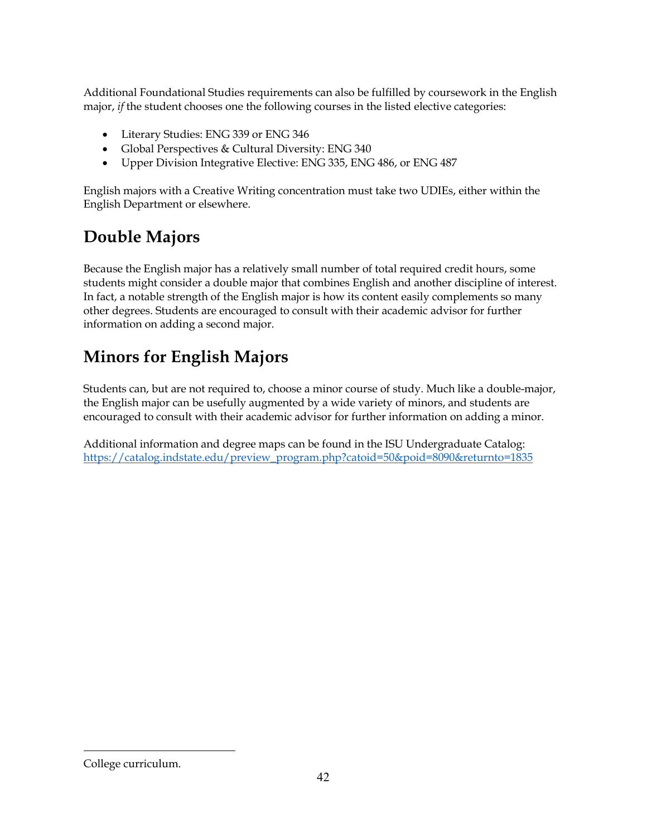Additional Foundational Studies requirements can also be fulfilled by coursework in the English major, *if* the student chooses one the following courses in the listed elective categories:

- Literary Studies: ENG 339 or ENG 346
- Global Perspectives & Cultural Diversity: ENG 340
- Upper Division Integrative Elective: ENG 335, ENG 486, or ENG 487

English majors with a Creative Writing concentration must take two UDIEs, either within the English Department or elsewhere.

# **Double Majors**

Because the English major has a relatively small number of total required credit hours, some students might consider a double major that combines English and another discipline of interest. In fact, a notable strength of the English major is how its content easily complements so many other degrees. Students are encouraged to consult with their academic advisor for further information on adding a second major.

# **Minors for English Majors**

Students can, but are not required to, choose a minor course of study. Much like a double-major, the English major can be usefully augmented by a wide variety of minors, and students are encouraged to consult with their academic advisor for further information on adding a minor.

Additional information and degree maps can be found in the ISU Undergraduate Catalog: [https://catalog.indstate.edu/preview\\_program.php?catoid=50&poid=8090&returnto=1835](https://catalog.indstate.edu/preview_program.php?catoid=50&poid=8090&returnto=1835) 

College curriculum.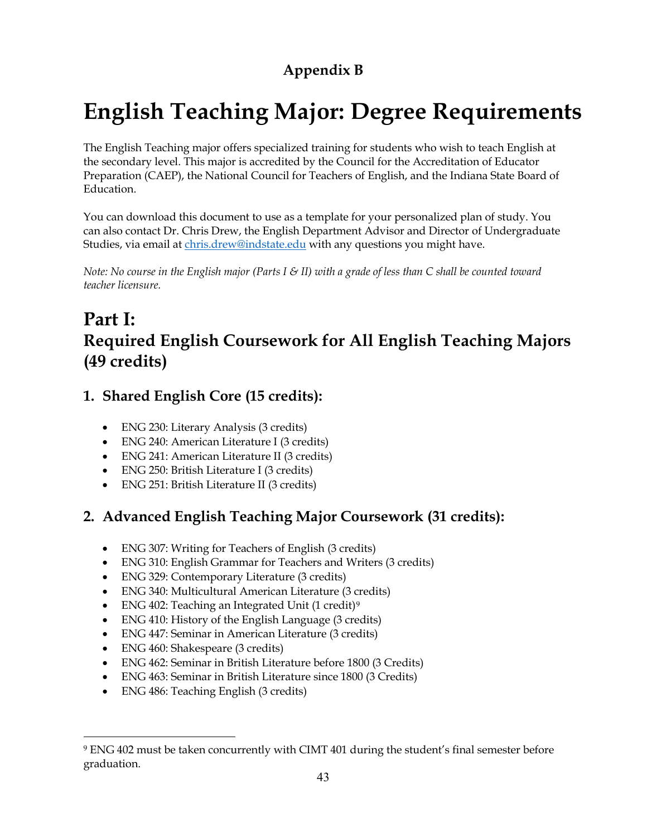# **Appendix B**

# **English Teaching Major: Degree Requirements**

The English Teaching major offers specialized training for students who wish to teach English at the secondary level. This major is accredited by the Council for the Accreditation of Educator Preparation (CAEP), the National Council for Teachers of English, and the Indiana State Board of Education.

You can download this document to use as a template for your personalized plan of study. You can also contact Dr. Chris Drew, the English Department Advisor and Director of Undergraduate Studies, via email at [chris.drew@indstate.edu](mailto:chris.drew@indstate.edu) with any questions you might have.

*Note: No course in the English major (Parts I & II) with a grade of less than C shall be counted toward teacher licensure.*

# **Part I: Required English Coursework for All English Teaching Majors (49 credits)**

# **1. Shared English Core (15 credits):**

- ENG 230: Literary Analysis (3 credits)
- ENG 240: American Literature I (3 credits)
- ENG 241: American Literature II (3 credits)
- ENG 250: British Literature I (3 credits)
- ENG 251: British Literature II (3 credits)

# **2. Advanced English Teaching Major Coursework (31 credits):**

- ENG 307: Writing for Teachers of English (3 credits)
- ENG 310: English Grammar for Teachers and Writers (3 credits)
- ENG 329: Contemporary Literature (3 credits)
- ENG 340: Multicultural American Literature (3 credits)
- ENG 402: Teaching an Integrated Unit (1 credit)[9](#page-42-0)
- ENG 410: History of the English Language (3 credits)
- ENG 447: Seminar in American Literature (3 credits)
- ENG 460: Shakespeare (3 credits)
- ENG 462: Seminar in British Literature before 1800 (3 Credits)
- ENG 463: Seminar in British Literature since 1800 (3 Credits)
- ENG 486: Teaching English (3 credits)

<span id="page-42-0"></span><sup>9</sup> ENG 402 must be taken concurrently with CIMT 401 during the student's final semester before graduation.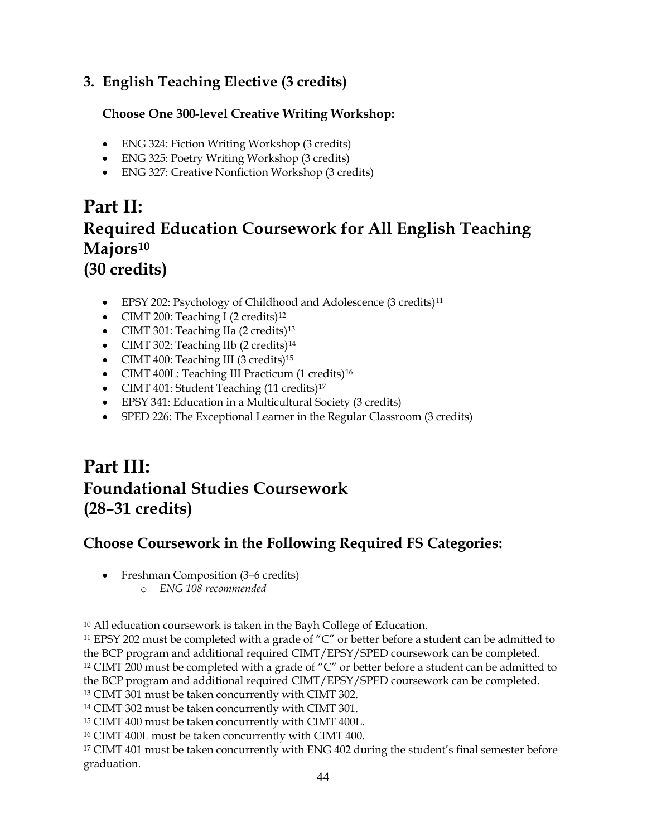# **3. English Teaching Elective (3 credits)**

### **Choose One 300-level Creative Writing Workshop:**

- ENG 324: Fiction Writing Workshop (3 credits)
- ENG 325: Poetry Writing Workshop (3 credits)
- ENG 327: Creative Nonfiction Workshop (3 credits)

# **Part II: Required Education Coursework for All English Teaching Majors[10](#page-43-0) (30 credits)**

- EPSY 202: Psychology of Childhood and Adolescence (3 credits)<sup>[11](#page-43-1)</sup>
- CIMT 200: Teaching I (2 credits)<sup>[12](#page-43-2)</sup>
- CIMT 301: Teaching IIa (2 credits)<sup>[13](#page-43-3)</sup>
- CIMT 302: Teaching IIb (2 credits)<sup>[14](#page-43-4)</sup>
- CIMT 400: Teaching III (3 credits)<sup>[15](#page-43-5)</sup>
- CIMT 400L: Teaching III Practicum (1 credits)<sup>[16](#page-43-6)</sup>
- CIMT 401: Student Teaching (11 credits)<sup>[17](#page-43-7)</sup>
- EPSY 341: Education in a Multicultural Society (3 credits)
- SPED 226: The Exceptional Learner in the Regular Classroom (3 credits)

# **Part III: Foundational Studies Coursework (28–31 credits)**

# **Choose Coursework in the Following Required FS Categories:**

• Freshman Composition (3–6 credits) o *ENG 108 recommended*

<span id="page-43-0"></span><sup>10</sup> All education coursework is taken in the Bayh College of Education.

<span id="page-43-2"></span><span id="page-43-1"></span><sup>&</sup>lt;sup>11</sup> EPSY 202 must be completed with a grade of "C" or better before a student can be admitted to the BCP program and additional required CIMT/EPSY/SPED coursework can be completed. <sup>12</sup> CIMT 200 must be completed with a grade of "C" or better before a student can be admitted to the BCP program and additional required CIMT/EPSY/SPED coursework can be completed. <sup>13</sup> CIMT 301 must be taken concurrently with CIMT 302.

<span id="page-43-4"></span><span id="page-43-3"></span><sup>14</sup> CIMT 302 must be taken concurrently with CIMT 301.

<span id="page-43-5"></span><sup>15</sup> CIMT 400 must be taken concurrently with CIMT 400L.

<span id="page-43-6"></span><sup>16</sup> CIMT 400L must be taken concurrently with CIMT 400.

<span id="page-43-7"></span><sup>&</sup>lt;sup>17</sup> CIMT 401 must be taken concurrently with ENG 402 during the student's final semester before graduation.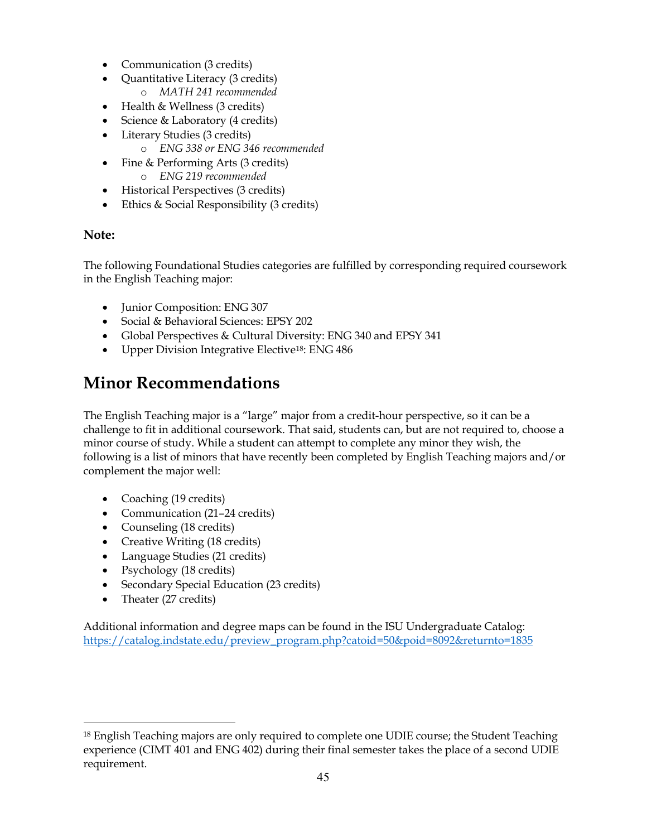- Communication (3 credits)
- Quantitative Literacy (3 credits)
	- o *MATH 241 recommended*
- Health & Wellness (3 credits)
- Science & Laboratory (4 credits)
- Literary Studies (3 credits)
	- o *ENG 338 or ENG 346 recommended*
- Fine & Performing Arts (3 credits)
	- o *ENG 219 recommended*
- Historical Perspectives (3 credits)
- Ethics & Social Responsibility (3 credits)

#### **Note:**

The following Foundational Studies categories are fulfilled by corresponding required coursework in the English Teaching major:

- Junior Composition: ENG 307
- Social & Behavioral Sciences: EPSY 202
- Global Perspectives & Cultural Diversity: ENG 340 and EPSY 341
- Upper Division Integrative Elective<sup>[18](#page-44-0)</sup>: ENG 486

# **Minor Recommendations**

The English Teaching major is a "large" major from a credit-hour perspective, so it can be a challenge to fit in additional coursework. That said, students can, but are not required to, choose a minor course of study. While a student can attempt to complete any minor they wish, the following is a list of minors that have recently been completed by English Teaching majors and/or complement the major well:

- Coaching (19 credits)
- Communication (21–24 credits)
- Counseling (18 credits)
- Creative Writing (18 credits)
- Language Studies (21 credits)
- Psychology (18 credits)
- Secondary Special Education (23 credits)
- Theater (27 credits)

Additional information and degree maps can be found in the ISU Undergraduate Catalog: [https://catalog.indstate.edu/preview\\_program.php?catoid=50&poid=8092&returnto=1835](https://catalog.indstate.edu/preview_program.php?catoid=50&poid=8092&returnto=1835)

<span id="page-44-0"></span><sup>&</sup>lt;sup>18</sup> English Teaching majors are only required to complete one UDIE course; the Student Teaching experience (CIMT 401 and ENG 402) during their final semester takes the place of a second UDIE requirement.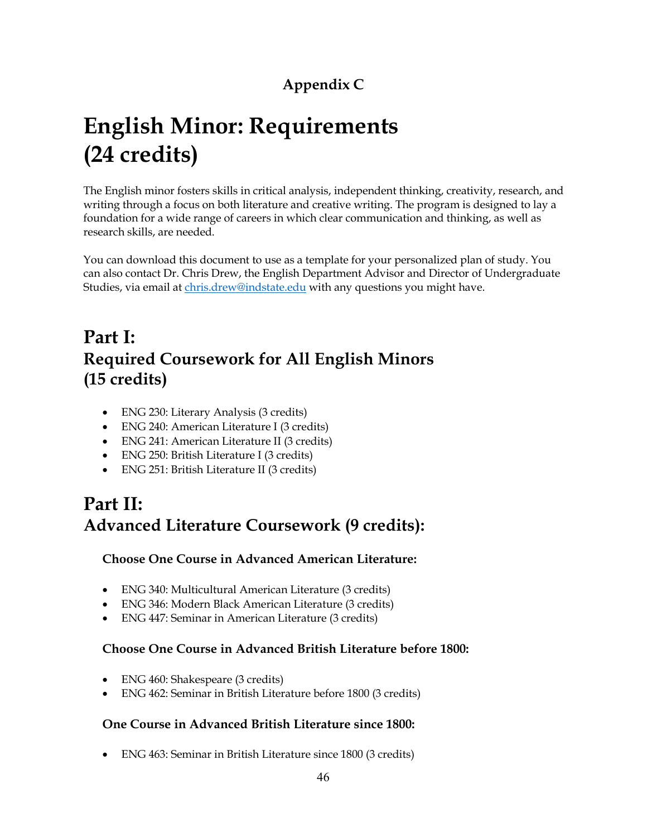# **Appendix C**

# **English Minor: Requirements (24 credits)**

The English minor fosters skills in critical analysis, independent thinking, creativity, research, and writing through a focus on both literature and creative writing. The program is designed to lay a foundation for a wide range of careers in which clear communication and thinking, as well as research skills, are needed.

You can download this document to use as a template for your personalized plan of study. You can also contact Dr. Chris Drew, the English Department Advisor and Director of Undergraduate Studies, via email at [chris.drew@indstate.edu](mailto:chris.drew@indstate.edu) with any questions you might have.

# **Part I: Required Coursework for All English Minors (15 credits)**

- ENG 230: Literary Analysis (3 credits)
- ENG 240: American Literature I (3 credits)
- ENG 241: American Literature II (3 credits)
- ENG 250: British Literature I (3 credits)
- ENG 251: British Literature II (3 credits)

# **Part II: Advanced Literature Coursework (9 credits):**

### **Choose One Course in Advanced American Literature:**

- ENG 340: Multicultural American Literature (3 credits)
- ENG 346: Modern Black American Literature (3 credits)
- ENG 447: Seminar in American Literature (3 credits)

### **Choose One Course in Advanced British Literature before 1800:**

- ENG 460: Shakespeare (3 credits)
- ENG 462: Seminar in British Literature before 1800 (3 credits)

### **One Course in Advanced British Literature since 1800:**

• ENG 463: Seminar in British Literature since 1800 (3 credits)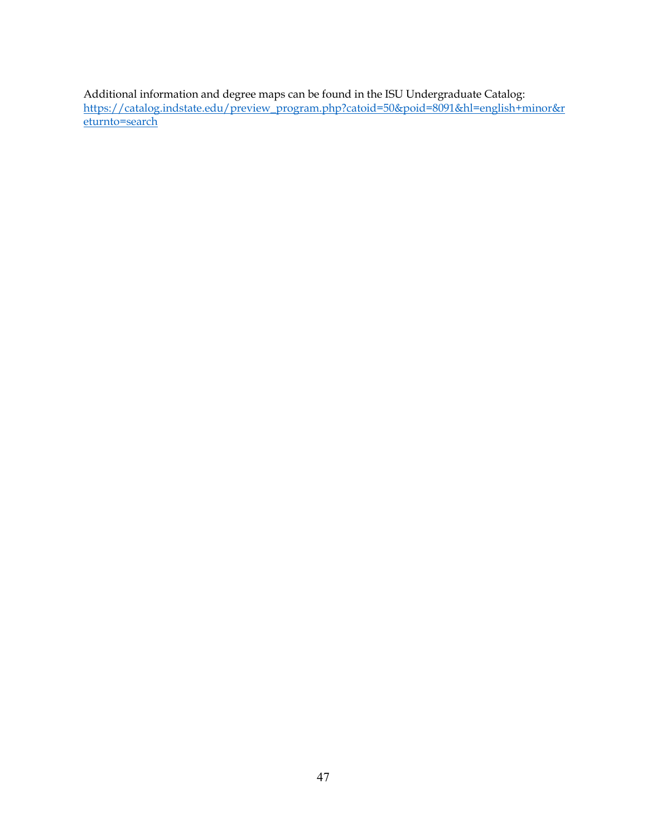Additional information and degree maps can be found in the ISU Undergraduate Catalog: [https://catalog.indstate.edu/preview\\_program.php?catoid=50&poid=8091&hl=english+minor&r](https://catalog.indstate.edu/preview_program.php?catoid=50&poid=8091&hl=english+minor&returnto=search) [eturnto=search](https://catalog.indstate.edu/preview_program.php?catoid=50&poid=8091&hl=english+minor&returnto=search)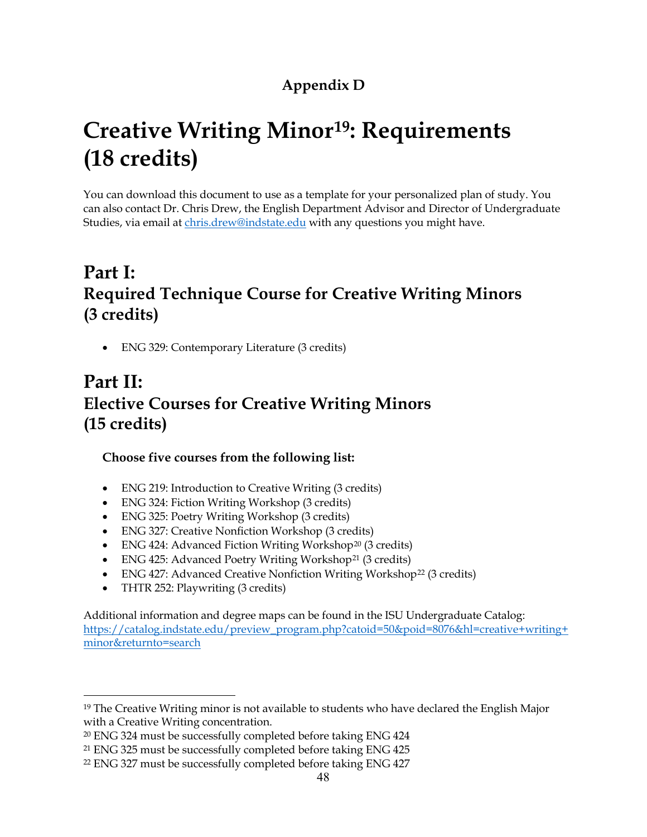# **Appendix D**

# **Creative Writing Minor[19](#page-47-0): Requirements (18 credits)**

You can download this document to use as a template for your personalized plan of study. You can also contact Dr. Chris Drew, the English Department Advisor and Director of Undergraduate Studies, via email at [chris.drew@indstate.edu](mailto:chris.drew@indstate.edu) with any questions you might have.

# **Part I: Required Technique Course for Creative Writing Minors (3 credits)**

• ENG 329: Contemporary Literature (3 credits)

# **Part II: Elective Courses for Creative Writing Minors (15 credits)**

### **Choose five courses from the following list:**

- ENG 219: Introduction to Creative Writing (3 credits)
- ENG 324: Fiction Writing Workshop (3 credits)
- ENG 325: Poetry Writing Workshop (3 credits)
- ENG 327: Creative Nonfiction Workshop (3 credits)
- ENG 424: Advanced Fiction Writing Workshop<sup>[20](#page-47-1)</sup> (3 credits)
- ENG 425: Advanced Poetry Writing Workshop<sup>[21](#page-47-2)</sup> (3 credits)
- ENG 427: Advanced Creative Nonfiction Writing Workshop<sup>[22](#page-47-3)</sup> (3 credits)
- THTR 252: Playwriting (3 credits)

Additional information and degree maps can be found in the ISU Undergraduate Catalog: [https://catalog.indstate.edu/preview\\_program.php?catoid=50&poid=8076&hl=creative+writing+](https://catalog.indstate.edu/preview_program.php?catoid=50&poid=8076&hl=creative+writing+minor&returnto=search) [minor&returnto=search](https://catalog.indstate.edu/preview_program.php?catoid=50&poid=8076&hl=creative+writing+minor&returnto=search)

<span id="page-47-0"></span><sup>&</sup>lt;sup>19</sup> The Creative Writing minor is not available to students who have declared the English Major with a Creative Writing concentration.

<span id="page-47-1"></span><sup>20</sup> ENG 324 must be successfully completed before taking ENG 424

<span id="page-47-2"></span><sup>21</sup> ENG 325 must be successfully completed before taking ENG 425

<span id="page-47-3"></span><sup>22</sup> ENG 327 must be successfully completed before taking ENG 427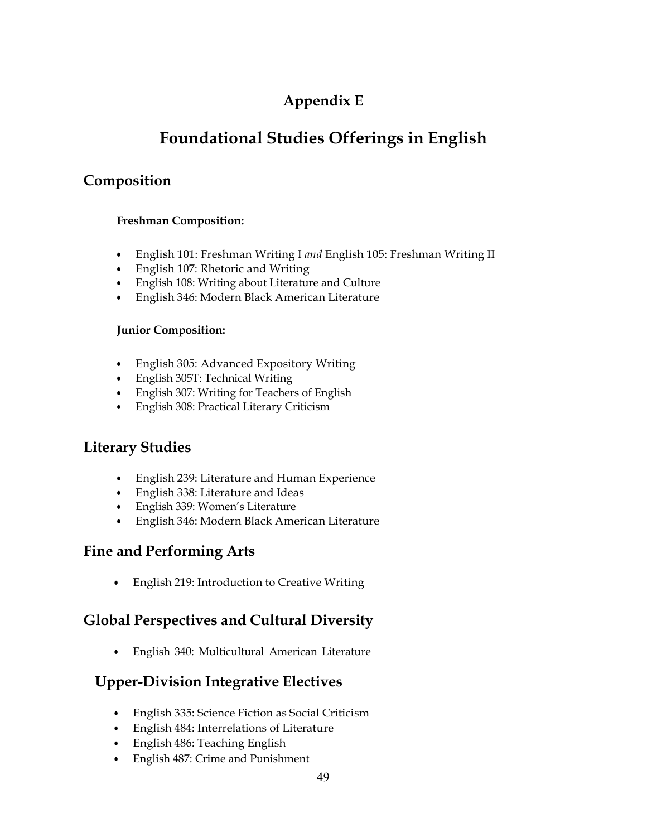# **Appendix E**

# **Foundational Studies Offerings in English**

## **Composition**

#### **Freshman Composition:**

- English 101: Freshman Writing I *and* English 105: Freshman Writing II
- English 107: Rhetoric and Writing
- English 108: Writing about Literature and Culture
- English 346: Modern Black American Literature

#### **Junior Composition:**

- English 305: Advanced Expository Writing
- English 305T: Technical Writing
- English 307: Writing for Teachers of English
- English 308: Practical Literary Criticism

# **Literary Studies**

- English 239: Literature and Human Experience
- English 338: Literature and Ideas
- English 339: Women's Literature
- English 346: Modern Black American Literature

## **Fine and Performing Arts**

• English 219: Introduction to Creative Writing

## **Global Perspectives and Cultural Diversity**

• English 340: Multicultural American Literature

## **Upper-Division Integrative Electives**

- English 335: Science Fiction as Social Criticism
- English 484: Interrelations of Literature
- English 486: Teaching English
- English 487: Crime and Punishment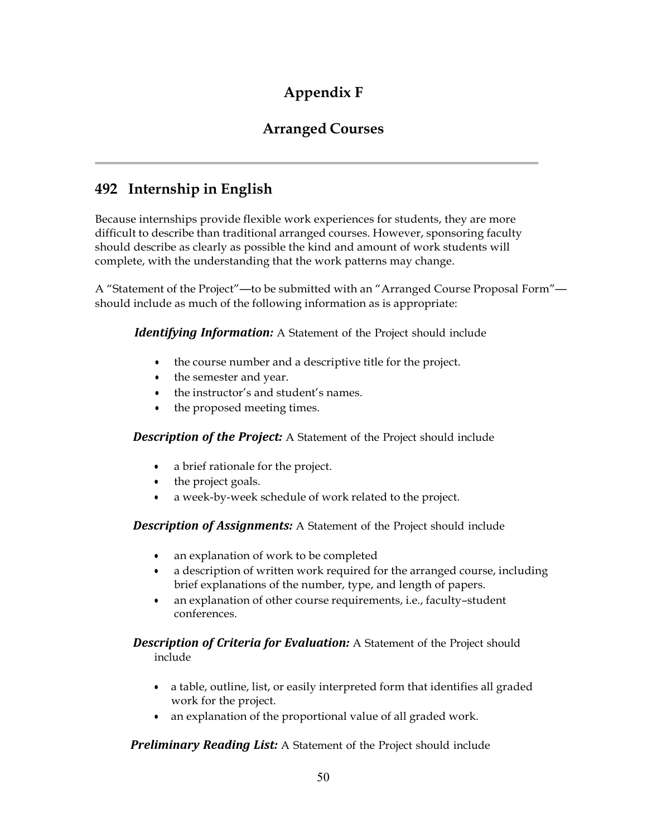# **Appendix F**

## **Arranged Courses**

## **492 Internship in English**

Because internships provide flexible work experiences for students, they are more difficult to describe than traditional arranged courses. However, sponsoring faculty should describe as clearly as possible the kind and amount of work students will complete, with the understanding that the work patterns may change.

A "Statement of the Project"—to be submitted with an "Arranged Course Proposal Form" should include as much of the following information as is appropriate:

*Identifying Information:* A Statement of the Project should include

- the course number and a descriptive title for the project.
- the semester and year.
- the instructor's and student's names.
- the proposed meeting times.

*Description of the Project:* A Statement of the Project should include

- a brief rationale for the project.
- the project goals.
- a week-by-week schedule of work related to the project.

*Description of Assignments:* A Statement of the Project should include

- an explanation of work to be completed
- a description of written work required for the arranged course, including brief explanations of the number, type, and length of papers.
- an explanation of other course requirements, i.e., faculty–student conferences.

#### *Description of Criteria for Evaluation:* A Statement of the Project should include

- a table, outline, list, or easily interpreted form that identifies all graded work for the project.
- an explanation of the proportional value of all graded work.

*Preliminary Reading List:* A Statement of the Project should include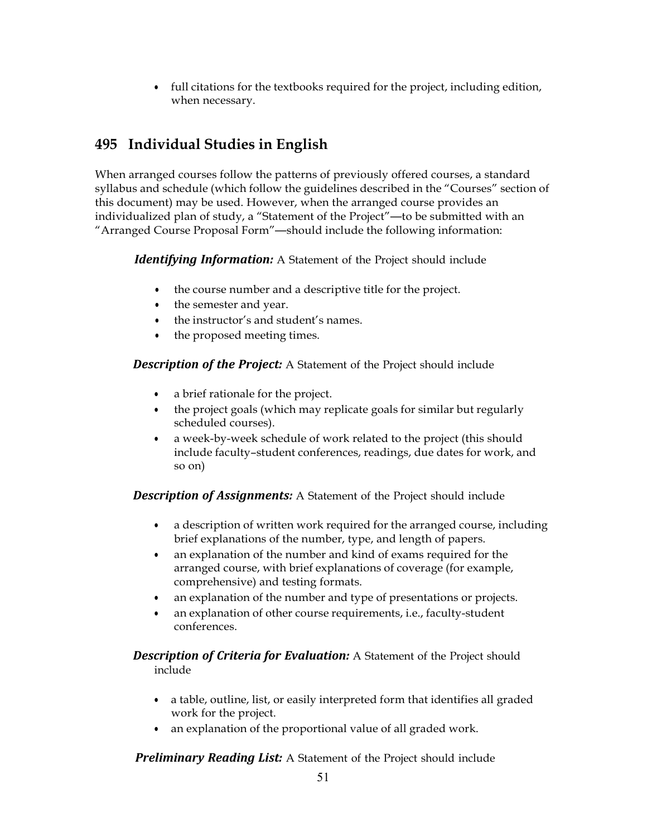• full citations for the textbooks required for the project, including edition, when necessary.

# **495 Individual Studies in English**

When arranged courses follow the patterns of previously offered courses, a standard syllabus and schedule (which follow the guidelines described in the "Courses" section of this document) may be used. However, when the arranged course provides an individualized plan of study, a "Statement of the Project"—to be submitted with an "Arranged Course Proposal Form"—should include the following information:

*Identifying Information:* A Statement of the Project should include

- the course number and a descriptive title for the project.
- the semester and year.
- the instructor's and student's names.
- the proposed meeting times.

*Description of the Project:* A Statement of the Project should include

- a brief rationale for the project.
- the project goals (which may replicate goals for similar but regularly scheduled courses).
- a week-by-week schedule of work related to the project (this should include faculty–student conferences, readings, due dates for work, and so on)

*Description of Assignments:* A Statement of the Project should include

- a description of written work required for the arranged course, including brief explanations of the number, type, and length of papers.
- an explanation of the number and kind of exams required for the arranged course, with brief explanations of coverage (for example, comprehensive) and testing formats.
- an explanation of the number and type of presentations or projects.
- an explanation of other course requirements, i.e., faculty-student conferences.

*Description of Criteria for Evaluation:* A Statement of the Project should include

- a table, outline, list, or easily interpreted form that identifies all graded work for the project.
- an explanation of the proportional value of all graded work.

*Preliminary Reading List:* A Statement of the Project should include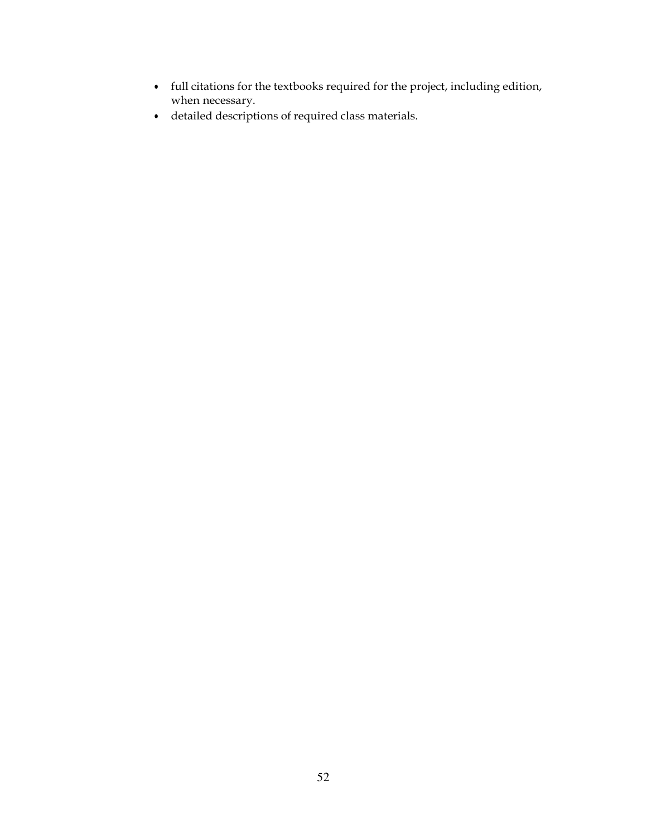- full citations for the textbooks required for the project, including edition, when necessary.
- detailed descriptions of required class materials.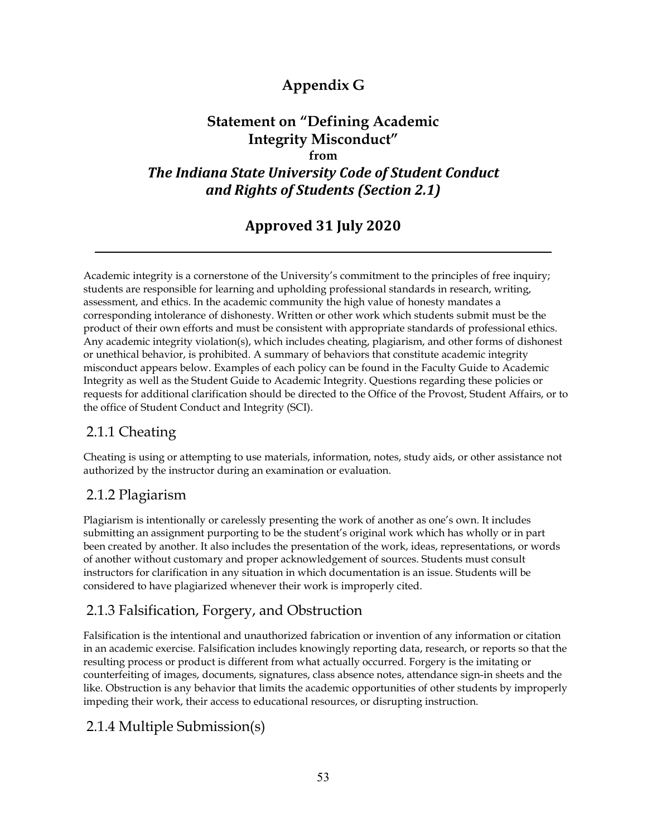# **Appendix G**

## **Statement on "Defining Academic Integrity Misconduct" from** *The Indiana State University Code of Student Conduct and Rights of Students (Section 2.1)*

# **Approved 31 July 2020**

Academic integrity is a cornerstone of the University's commitment to the principles of free inquiry; students are responsible for learning and upholding professional standards in research, writing, assessment, and ethics. In the academic community the high value of honesty mandates a corresponding intolerance of dishonesty. Written or other work which students submit must be the product of their own efforts and must be consistent with appropriate standards of professional ethics. Any academic integrity violation(s), which includes cheating, plagiarism, and other forms of dishonest or unethical behavior, is prohibited. A summary of behaviors that constitute academic integrity misconduct appears below. Examples of each policy can be found in the Faculty Guide to Academic Integrity as well as the Student Guide to Academic Integrity. Questions regarding these policies or requests for additional clarification should be directed to the Office of the Provost, Student Affairs, or to the office of Student Conduct and Integrity (SCI).

## 2.1.1 Cheating

Cheating is using or attempting to use materials, information, notes, study aids, or other assistance not authorized by the instructor during an examination or evaluation.

## 2.1.2 Plagiarism

Plagiarism is intentionally or carelessly presenting the work of another as one's own. It includes submitting an assignment purporting to be the student's original work which has wholly or in part been created by another. It also includes the presentation of the work, ideas, representations, or words of another without customary and proper acknowledgement of sources. Students must consult instructors for clarification in any situation in which documentation is an issue. Students will be considered to have plagiarized whenever their work is improperly cited.

## 2.1.3 Falsification, Forgery, and Obstruction

Falsification is the intentional and unauthorized fabrication or invention of any information or citation in an academic exercise. Falsification includes knowingly reporting data, research, or reports so that the resulting process or product is different from what actually occurred. Forgery is the imitating or counterfeiting of images, documents, signatures, class absence notes, attendance sign-in sheets and the like. Obstruction is any behavior that limits the academic opportunities of other students by improperly impeding their work, their access to educational resources, or disrupting instruction.

## 2.1.4 Multiple Submission(s)